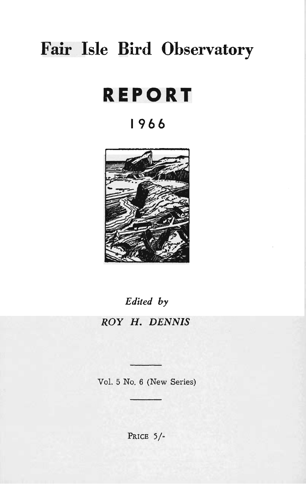# **Fair Isle Bird Observatory**

# **REPORT**

# **1966**



*Edited by* 

# *ROY H. DENNIS*

Vol. 5 No. 6 (New Series)

PRICE 5/-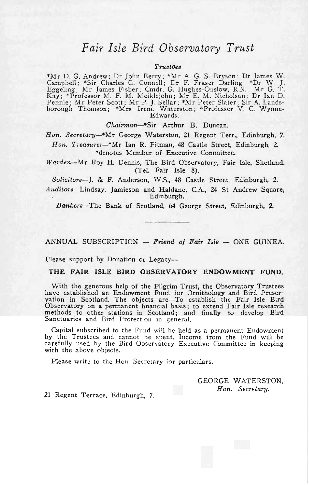## *Fair Isle Bird Observatory Trust*

#### $Trustees$

\*Mr D. G. Andrew; Dr John Berry; \*Mr A. G. S. Bryson : Dr James W . Camp bell ; \*Sir Charles G. Connell; Dr F. Fraser Darling \*Dr W . J. Eggeling; Mr James Fisher ; Cmdr. G. Hughes-Onslow, R.N. Mr G. T. Kay; \*Professor M. F. M. Meiklejohn; Mr E. M. Nicholson; Dr Ian D.<br>Pennie; Mr Peter Scott; Mr P. J. Sellar; \*Mr Peter Slater; Sir A. Lands-Pennie; Mr Peter Scott; Mr P. J. Sellar; \*Mr Peter Slater; Sir A. Lands-<br>borough Thomson; \*Mrs Irene Waterston; \*Professor V. C. Wynne-Edwards.

*Chairman-\*Sir* Arthur B. Duncan.

Hon. Secretary-\*Mr George Waterston, 21 Regent Terr., Edinburgh, 7. Hon. Treasurer-\*Mr Ian R. Pitman, 48 Castle Street, Edinburgh, 2. \*denotes Member of Executive Committee.

*Warden-Mr* Roy H. Dennis, The Bird Observatory, Fair Isle, Shetland. (Tel. Fair Isle 8).

*Solicitors-J .* & F. Anderson, W.S., 48 Castle Street, Edinburgh, 2.

*Auditors* Lindsay, Jamieson and Haldane, C.A., 24 St Andrew Square, Edinburgh.

*Bankers-The* Bank of Scotland, 64 George Street, Edinburgh, 2.

ANNUAL SUBSCRIPTION - Friend of Fair Isle - ONE GUINEA.

Please support by Donation or Legacy-

#### **THE FAIR ISLE BIRD OBSERVATORY ENDOWMENT FUND.**

With the generous help of the Pilgrim Trust, the Observatory Trustees have established an Endowment Fund for Ornithology and Bird Preservation in Scotland. The objects are-To establish the Fair Isle Bird Observatory on a permanent financial basis; to extend Fair Isle research methods to other stations in Scotland; and finally to develop Bird Sanctuaries and Bird Protection in general.

Capital subscribed to. the Fund will be held as a permanent Endowment by the Trustees and cannot be spent. Income from the Fund will be carefully used by the Bird Observatory Executive Committee in keeping with the above objects.

Please write to the Hon. Secretary for particulars.

GEORGE WATERSTON. *Hon. Secretary.* 

21 Regent Terrace. Edinburgh, 7.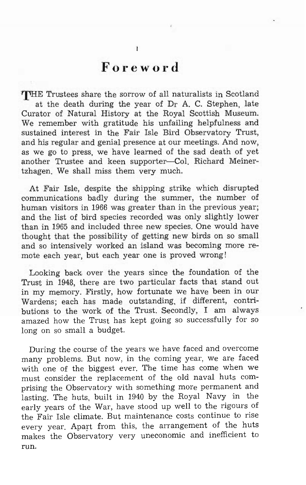# **Foreword**

THE Trustees share the sorrow of all naturalists in Scotland at the death during the year of Dr A. C. Stephen, late Curator of Natural History at the Royal Scottish Museum. We remember with gratitude his unfailing helpfulness and sustained interest in the Fair Isle Bird Observatory Trust, and his regular and genial presence at our meetings. And now, as we go to press, we have learned of the sad death of yet another Trustee and keen supporter-Col. Richard Meinertzhagen. We shall miss them very much.

At Fair Isle, despite the shipping strike which disrupted communications badly during the summer, the number of human visitors in 1966 was greater than in the previous year; and the list of bird species recorded was only slightly lower than in 1965 and included three new species. One would have thought that the possibility of getting new birds on so small and so intensively worked an island was becoming more remote each year, but each year one is proved wrong!

Looking back over the years since the foundation of the Trust in 1948, there are two particular facts that stand out in my memory. Firstly, how fortunate we have been in our Wardens; each has made outstanding, if different, contributions to the work of the Trust. Secondly, I am always amazed how the Trust has kept going so successfully for so long on so small a budget.

During the course of the years we have faced and overcome many problems. But now, in the coming year, we are faced with one of the biggest ever. The time has come when we must consider the replacement of the old naval huts comprising the Observatory with something more permanent and lasting. The huts, built in 1940 by the Royal Navy in the early years of the War, have stood up well to the rigours of the Fair Isle climate. But maintenance costs continue to rise every year. Apart from this, the arrangement of the huts makes the Observatory very uneconomic and inefficient to run.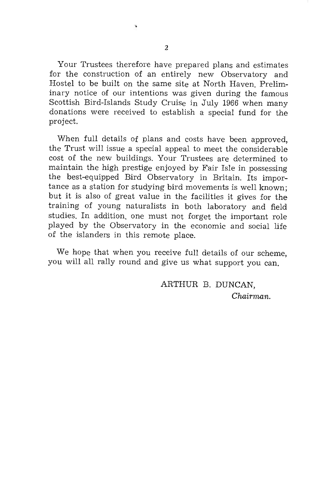Your Trustees therefore have prepared plans and estimates for the construction of an entirely new Observatory and Hostel to be built on the same site at North Haven. Preliminary notice of our intentions was given during the famous Scottish Bird-Islands Study Cruise in July 1966 when many donations were received to establish a special fund for the project.

When full details of plans and costs have been approved, the Trust will issue a special appeal to meet the considerable cost of the new buildings. Your Trustees are determined to maintain the high prestige enjoyed by Fair Isle in possessing the best-equipped Bird Observatory in Britain. Its importance as a station for studying bird movements is well known; but it is also of great value in the facilities it gives for the training of young naturalists in both laboratory and field studies. In addition, one must not forget the important role played by the Observatory in the economic and social life of the islanders in this remote place.

We hope that when you receive full details of our scheme, you will all rally round and give us what support you can.

> ARTHUR B. DUNCAN, Chairman.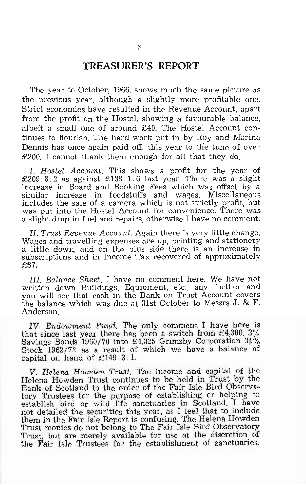### **TREASURER'S REPORT**

The year to October, 1966, shows much the same picture as the previous year, although a slightly more profitable one. Strict economies have resulted in the Revenue Account, apart from the profit On the Hostel, showing a favourable balance, albeit a small one of around £40. The Hostel Account continues to flourish. The hard work put in by Roy and Marina Dennis has once again paid off, this year to the tune of over £200. I cannot thank them enough for all that they do.

I. *Hostel Account.* This shows a profit for the year of £209:8:2 as against £138:1:6 last year. There was a slight increase in Board and Booking Fees which was offset by a similar increase in foodstuffs and wages. Miscellaneous includes the sale of a camera which is not strictly profit, but was put into the Hostel Account for convenience. There was a slight drop in fuel and repairs, otherwise I have no comment.

*II. Trust Revenue Account.* Again there is very little change. Wages and travelling expenses are up, printing and stationery a little down, and on the plus side there is an increase in subscriptions and in Income Tax recovered of approximately £87.

*Ill. Balance Sheet.* I have no comment here. We have not written down Buildings, Equipment, etc., any further and you will see that cash in the Bank on Trust Account covers the balance which was due at 31st October to Messrs J. &  $\mathbf{F}$ . Anderson.

*IV. Endowment Fund.* The only comment I have here is that since last year there has been a switch from £4,300,  $3\%$ Savings Bonds 1960/70 into £4,325 Grimsby Corporation  $3\frac{1}{2}\%$ Stock 1962/72 as a result of which we have a balance of capital on hand of  $£149:3:1$ .

*V. Helena Howden Trust.* The income and capital of the Helena Howden Trust continues to be held in Trust by the Bank of Scotland to the order of the Fair Isle Bird Observatory Trustees for the purpose of establishing or helping to establish bird Or wild life sanctuaries in Scotland. I have not detailed the securities this year, as I feel that to include them in the Fair Isle Report is confusing. The Helena Howden Trust monies do not belong to The Fair Isle Bird Observatory Trust, but are merely available for use at the discretion of the Fair Isle Trustees for the establishment of sanctuaries.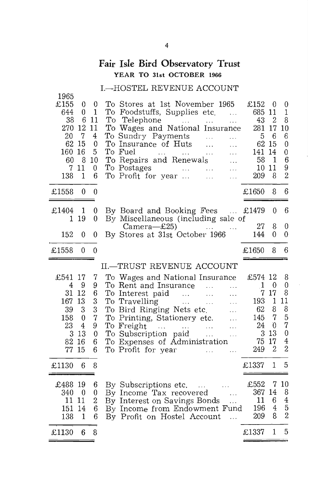## **Fair Isle Bird Observatory Trust**  YEAR **TO** 31st OCTOBER 1966

#### I.-HOSTEL REVENUE ACCOUNT

| 1965<br>£155<br>644<br>38<br>270<br>20<br>62<br>160<br>60<br>7<br>138 | $\boldsymbol{0}$<br>0<br>6<br>12<br>$\overline{7}$<br>15<br>16<br>8<br>11<br>1 | 0<br>1<br>-11<br>11<br>4<br>$\bf{0}$<br>5<br>10<br>$\mathbf{0}$<br>6 | To Stores at 1st November 1965<br>To Foodstuffs, Supplies etc.<br>$\ddotsc$<br>$_{\rm To}$<br>Telephone<br><b>Contract</b><br>.<br>To Wages and National Insurance<br>To Sundry Payments<br>$\sim 100$<br>$\cdots$<br>To Insurance of Huts<br>$\dddotsc$<br>$\cdots$<br>To Fuel<br><b>Sales Common</b><br>$\cdots$<br>$\sim 100$<br>.<br>To Repairs and Renewals<br>To Postages<br>and the contract of the state<br>$\cdots$<br>To Profit for year<br>$\ldots$<br>. | £152<br>685 11<br>43<br>281<br>5<br>62<br>141<br>58<br>10<br>209       | $\theta$<br>$\overline{2}$<br>17<br>6<br>15<br>14<br>$\mathbf{1}$<br>11<br>8 | 0<br>$\mathbf{1}$<br>8<br>10<br>6<br>$\bf{0}$<br>0<br>6<br>9<br>$\overline{2}$ |
|-----------------------------------------------------------------------|--------------------------------------------------------------------------------|----------------------------------------------------------------------|---------------------------------------------------------------------------------------------------------------------------------------------------------------------------------------------------------------------------------------------------------------------------------------------------------------------------------------------------------------------------------------------------------------------------------------------------------------------|------------------------------------------------------------------------|------------------------------------------------------------------------------|--------------------------------------------------------------------------------|
| £1558                                                                 | $\mathbf{0}$                                                                   | $\boldsymbol{0}$                                                     |                                                                                                                                                                                                                                                                                                                                                                                                                                                                     | £1650                                                                  | 8                                                                            | 6                                                                              |
| £1404<br>1                                                            | 1<br>19                                                                        | 0<br>$\mathbf{0}$                                                    | By Board and Booking Fees<br>By Miscellaneous (including sale of                                                                                                                                                                                                                                                                                                                                                                                                    | £1479<br>27                                                            | 0<br>8                                                                       | 6<br>0                                                                         |
| 152                                                                   | $\theta$                                                                       | 0                                                                    | Camera-£25)<br><b>Contact Contact</b><br>By Stores at 31st October 1966                                                                                                                                                                                                                                                                                                                                                                                             | 144                                                                    | 0                                                                            | 0                                                                              |
| £1558                                                                 | $\theta$                                                                       | $\mathbf{0}$                                                         |                                                                                                                                                                                                                                                                                                                                                                                                                                                                     | £1650                                                                  | 8                                                                            | 6                                                                              |
|                                                                       |                                                                                |                                                                      | <b>II.-TRUST REVENUE ACCOUNT</b>                                                                                                                                                                                                                                                                                                                                                                                                                                    |                                                                        |                                                                              |                                                                                |
| £541 17<br>4<br>31<br>167 13<br>39<br>158<br>23<br>3<br>82<br>77      | 9<br>12<br>3<br>$\mathbf{0}$<br>$\overline{4}$<br>-13<br>16<br>15              | 7<br>9<br>6<br>3<br>3<br>7<br>9<br>0<br>6<br>6                       | To Wages and National Insurance<br>To Rent and Insurance<br>$\ddotsc$<br>To Interest paid<br>المتقارب المتناور<br>$\ddotsc$<br>To Travelling<br>$\mathcal{L}_{\mathcal{A}}$ , $\mathcal{L}_{\mathcal{A}}$<br>$\sim 100$<br>.<br>To Bird Ringing Nets etc.<br>$\ldots$<br>To Printing, Stationery etc.<br>To Freight<br>$\ldots$<br>$\ldots$<br>To Expenses of Administration<br>To Profit for year<br>$\ddotsc$<br>.                                                | £574 12<br>-1<br>7 <sup>1</sup><br>193<br>62<br>145<br>24<br>75<br>249 | $\theta$<br>17<br>$\mathbf{1}$<br>8<br>7<br>$\theta$<br>3 1 3<br>17<br>2     | 8<br>0<br>8<br>11<br>8<br>5<br>7<br>$\bf{0}$<br>4<br>$\overline{2}$            |
| £1130                                                                 | 6                                                                              | 8                                                                    |                                                                                                                                                                                                                                                                                                                                                                                                                                                                     | £1337                                                                  | 1                                                                            | 5                                                                              |
| £488 19<br>340<br>11 11<br>151<br>138<br>£1130                        | $\boldsymbol{0}$<br>-14<br>$\mathbf{1}$<br>6                                   | 6<br>0<br>2<br>6<br>6<br>8                                           | By Subscriptions etc.<br>By Income Tax recovered<br>By Income Tax recovered<br>$\sim 1.1$<br>By Interest on Savings Bonds<br>By Income from Endowment Fund<br>By Profit on Hostel Account<br>$\ddotsc$                                                                                                                                                                                                                                                              | £552<br>367<br>11<br>196<br>209<br>£1337                               | 7<br>14<br>6<br>4<br>8<br>1                                                  | 10<br>8<br>$\overline{4}$<br>$\overline{5}$<br>$\overline{2}$<br>5             |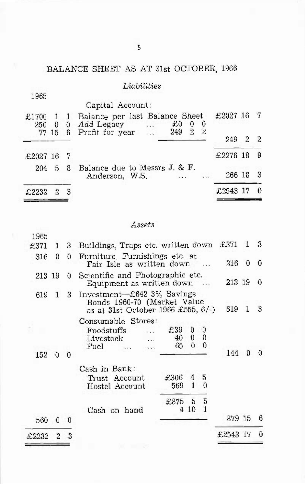## BALANCE SHEET AS AT 31st OCTOBER, 1966

## *Liabilities*

| 1965           |   |              |                                                                                                                                      |          |              |    |
|----------------|---|--------------|--------------------------------------------------------------------------------------------------------------------------------------|----------|--------------|----|
|                |   |              | Capital Account:                                                                                                                     |          |              |    |
| £1700<br>250 0 |   | $\mathbf{1}$ | Balance per last Balance Sheet<br>£0<br>250 0 0 Add Legacy<br>77 15 6 Profit for year<br>0<br>$\theta$<br>$\overline{2}$<br>249<br>2 | £2027 16 |              |    |
|                |   |              |                                                                                                                                      | 249      | $\mathbf{2}$ | 2  |
| £2027 16       |   |              |                                                                                                                                      | £2276 18 |              | -9 |
| 204            | 5 | - 8          | Balance due to Messrs J. & F.<br>Anderson, W.S.<br>$\cdots$                                                                          | 266 18   |              |    |
| £2232          |   | 3            |                                                                                                                                      | £2543    |              |    |

#### *Assets*

| £2232        | 2            | 3        |                                                                                                    |                 |                    |                           | £2543 17 |   | 0 |
|--------------|--------------|----------|----------------------------------------------------------------------------------------------------|-----------------|--------------------|---------------------------|----------|---|---|
| 560          | 0            | $\Omega$ | Cash on hand                                                                                       |                 |                    |                           | 879 15   |   | 6 |
|              |              |          |                                                                                                    | £875<br>4       | 5<br>10            | 5<br>$\mathbf{1}$         |          |   |   |
|              |              |          | Trust Account<br>Hostel Account                                                                    | £306<br>569     | 4<br>$\mathbf{1}$  | 5<br>$\theta$             |          |   |   |
|              |              |          | Cash in Bank:                                                                                      |                 |                    |                           |          |   |   |
| 152          | 0            | 0        | Consumable Stores:<br>Foodstuffs<br>Livestock<br>Fuel                                              | £39<br>40<br>65 | 0<br>0<br>$\theta$ | $\theta$<br>0<br>$\theta$ | 144      | 0 | 0 |
| 619          | $\mathbf{1}$ | 3        | Investment-£642 $3\%$ Savings<br>Bonds 1960-70 (Market Value<br>as at 31st October 1966 £555, 6/-) | 619             |                    | 3                         |          |   |   |
| 213 19       |              | 0        | Scientific and Photographic etc.<br>Equipment as written down                                      | 213 19          |                    | $\Omega$                  |          |   |   |
| 316          | 0            | $\Omega$ | Furniture, Furnishings etc. at<br>Fair Isle as written down                                        | 316             | $\theta$           | $\overline{0}$            |          |   |   |
| 1965<br>£371 | 1            | 3        | Buildings, Traps etc. written down                                                                 |                 |                    |                           | £371     | 1 | 3 |
|              |              |          |                                                                                                    |                 |                    |                           |          |   |   |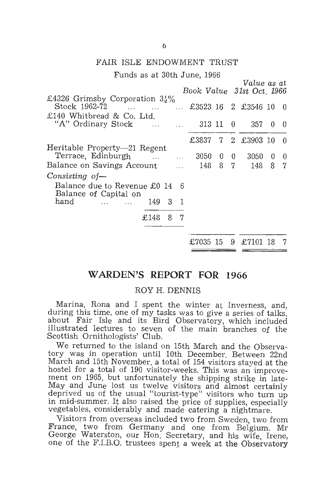#### FAIR ISLE ENDOWMENT TRUST

Funds as at 30th June, 1966

|                                                                                                                           | Book Value 31st Oct. 1966 |                |     | Value as at         |          |          |
|---------------------------------------------------------------------------------------------------------------------------|---------------------------|----------------|-----|---------------------|----------|----------|
| £4326 Grimsby Corporation $3\frac{1}{2}\%$<br>Stock 1962-72                                                               |                           |                |     | £3523 16 2 £3546 10 |          | - 0      |
| £140 Whitbread & Co. Ltd.<br>"A" Ordinary Stock<br>$\mathbf{1}$                                                           | $\ldots$ 313 11           |                | - 0 | 357                 | $\theta$ | $\Omega$ |
|                                                                                                                           | £3837                     |                |     | 7 2 £3903 10        |          | - 0      |
| Heritable Property-21 Regent<br>Terrace, Edinburgh<br>$\mathcal{L} = \mathcal{L} \times \mathcal{L}$<br>$\sim$ 100 $\sim$ | 3050                      | $\theta$<br>87 | - 0 | 3050<br>148 -       | 0        | 0<br>7   |
| Balance on Savings Account<br>Consisting of-                                                                              | - 148                     |                |     |                     | 8        |          |
| Balance due to Revenue £0 14<br>6<br>Balance of Capital on                                                                |                           |                |     |                     |          |          |
| hand<br>3<br>- 1<br>149<br><b><i>Contract Contract Contract</i></b>                                                       |                           |                |     |                     |          |          |
| - 8<br>£148<br>7                                                                                                          |                           |                |     |                     |          |          |
|                                                                                                                           | £7035 15                  |                | 9.  | £7101               | -18      | 7        |

#### **WARDEN'S REPORT FOR 1966**

#### ROY H. DENNIS

Marina, Rona and I spent the winter at Inverness, and, during this time, one of my tasks was to give a series of talks, about Fair Isle and its Bird Observatory, which included illustrated lectures to seven of the main branches of the Scottish Ornithologists' Club.

We returned to the island on 15th March and the Observatory was in operation until 10th December. Between 22nd March and 15th November. a total of 154 visitors staved at the hostel for a total of 190 visitor-weeks. This was an improvement on 1965, but unfortunately the shipping strike in late-May and June lost us twelve visitors and almost certainly deprived us of the usual "tourist-type" visitors who turn up in mid-summer. It also raised the price of supplies, especially vegetables, considerably and made catering a nightmare.

Visitors from overseas included two from Sweden, two from France, two from Germany and one from Belgium. Mr George Waterston, our Hon. Secretary, and his wife, Irene, one of the F.I.B.O. trustees spent a week at the Observatory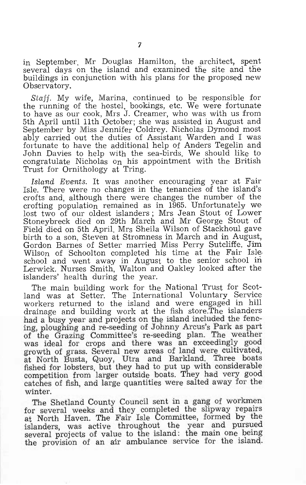in September, Mr Douglas Hamilton, the architect, spent several days on the island and examined the site and the buildings in conjunction with his plans for the proposed new Observatory.

*Staff.* My wife, Marina, continued to be responsible for the running of the hostel, bookings, etc. We Were fortunate to have as our cook, Mrs J. Creamer, who was with us from 5th April until 11th October; she was assisted in August and September by Miss Jennifer Coldrey. Nicholas Dymond most ably carried out the duties of Assistant Warden and I was fortunate to have the additional help of Anders Tegelin and John Davies to help with the sea-birds. We should like to congratulate Nicholas on his appointment with the British Trust for Ornithology at Tring.

*Island Events.* It was another encouraging year at Fair Isle. There were no changes in the tenancies of the island's crofts and, although there were changes the number of the crofting population remained as in 1965. Unfortunately we lost two of our oldest islanders; Mrs Jean Stout of Lower Stoneybreck died on 29th March and Mr George Stout of Field died on 5th April. Mrs Sheila Wilson of Stackhoul gave birth to a son, Steven at Stromness in March and in August, Gordon Barnes of Setter married Miss Perry Sutcliffe. Jim Wilson of Schoolton completed his time at the Fair Isle, school and went away in August to the senior school in Lerwick. Nurses Smith, Walton and Oakley looked after the islanders' health during the year.

The main building work for the National Trust for Scotland was at Setter. The International Voluntary Service workers returned to the island and were engaged in hill drainage and building work at the fish store.The islanders had a busy year and projects on the island included the fencing, ploughing and re-seeding of Johnny Arcus's Park as part of the Grazing Committee's re-seeding plan. The weather was ideal for crops and there was an exceedingly good growth of grass. Several new areas of land were cultivated, at North Busta, Quoy, Utra and Barkland. Three boats fished for lobsters, but they had to put up with considerable competition from larger outside boats. They had very good catches of fish, and large quantities were salted away for the winter.

The Shetland County Council sent in a gang of workmen for several weeks and they completed the slipway repairs at North Haven. The Fair Isle Committee, formed by the islanders, was active throughout the year and pursued several projects of value to the island: the main one being the provision of an air ambulance service for the island.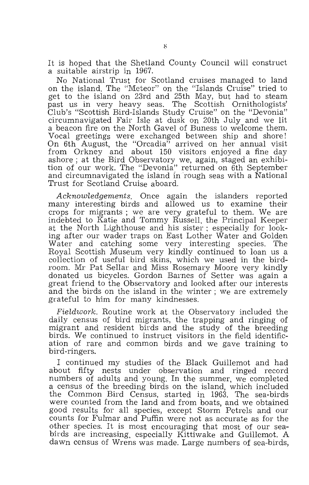It is hoped that the Shetland County Council will construct a suitable airstrip in 1967.

No National Trust for Scotland cruises managed to land on the island. The "Meteor" on the "Islands Cruise" tried to get to the island on 23rd and 25th May, but had to steam past us in very heavy seas. The Scottish Ornithologists' Club's "Scottish Bird-Islands Stuqy Cruise" on the "Devonia" circumnavigated Fair Isle at dusk on 20th July and we lit a beacon fire on the North Gavel of Buness to welcome them. Vocal greetings were exchanged between ship and shore! On 6th August, the "Orcadia" arrived on her annual visit from Orkney and about 150 visitors enjoyed a fine day ashore; at the Bird Observatory we, again, staged an exhibition of our work. The "Devonia" returned on 6th September and circumnavigated the island in rough seas with a National Trust for Scotland Cruise aboard.

*Acknowledgements.* Once again the islanders reported many interesting birds and allowed us to examine their crops for migrants; we are very grateful to them. We are indebted to Katie and Tommy Russell. the Principal Keeper at the North Lighthouse and his sister; especially for looking after our wader traps on East Lother Water and Golden Water and catching some very interesting species. The Royal Scottish Museum very kindly continued to loan us a collection of useful bird skins, which we used in the birdroom. Mr Pat Sellar and Miss Rosemary Moore very kindly donated us bicycles. Gordon Barnes of Setter was again a great friend to the Observatory and looked after our interests and the birds on the island in the winter; We are extremely grateful to him for many kindnesses.

*Fieldwork.* Routine work at the Observatory included the daily census of bird migrants, the trapping and ringing of migrant and resident birds and the study of the breeding birds. We continued to instruct visitors in the field identification of rare and common birds and we gave training to bird-ringers.

I continued my studies of the Black Guillemot and had about fifty nests under observation and ringed record numbers of adults and young. In the summer, we completed a census of the breeding birds on the island, which included the Common Bird Census, started in 1963. The sea-birds were counted from the land and from boats, and we obtained good results for all species, except Storm Petrels and our counts for Fulmar and Puffin were not as accurate as for the other species. It is most encouraging that most of our seabirds are increasing, especially Kittiwake and Guillemot. A dawn census of Wrens was made. Large numbers of sea-birds,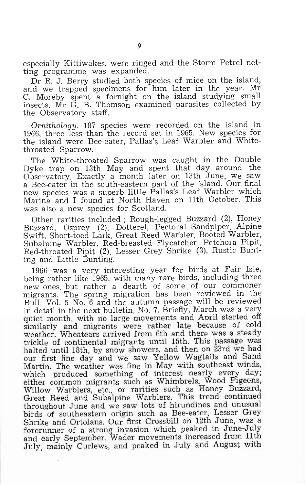especially Kittiwakes, were ringed and the Storm Petrel netting programme was expanded.

Dr R. J. Berry studied both species of mice on the island, and we trapped specimens for him later in the year. Mr C. Moreby spent a fornight on the island studying small insects. Mr G. B. Thomson examined parasites collected by the Observatory staff.

*Ornithology.* 187 species were recorded on the island in 1966, three less than the record set in 1965. New species for the island were Bee-eater, Pallas's Leaf Warbler and Whitethroated Sparrow.

The White-throated Sparrow was caught in the Double Dyke trap on 13th May and spent that day around the Observatory. Exactly a month later on 13th June, We saw a Bee-eater in the south-eastern nart of the island. Our final new species was a superb little Pallas's Leaf Warbler which Marina and I found at North Haven on 11th October. This was also a new species for Scotland.

Other rarities included; Rough-legged Buzzard (2), Honey Buzzard, Osprey (2), Dotterel, Pectoral Sandpiper. Alpine Swift, Short-toed Lark, Great Reed Warbler, Booted Warbler, Subalpine Warbler, Red-breasted Flycatcher, Petchora Pipit, Red-throated Pipit (2). Lesser Grey Shrike (3), Rustic Bunting and Little Bunting.

1966 was a very interesting year for birds at Fair Isle, being rather like 1965, with many rare birds, including three new ones, but rather a dearth of some of our commoner migrants. The spring migration has been reviewed in the Bull. Vol. 5 No. 6 and the autumn passage will be reviewed in detail in the next bulletin, No. 7. Briefly, March was a very quiet month, with no large movements and April started off similarly and migrants were rather late because of cold weather. Wheatears arrived from 6th and there was a steady trickle of continental migrants until 15th. This passage was halted until 18th, by snow showers, and then on 23rd we had our first fine day and we saw Yellow Wagtails and Sand Martin. The weather was fine in May with southeast winds, which produced something of interest nearly every day; either common migrants such as Whimbrels, Wood Pigeons, Willow Warblers, etc., or rarities such as Honey Buzzard, Great Reed and Subalpine Warblers. This trend continued throughout June and we saw lots of hirundines and unusual birds of southeastern origin such as Bee-eater, Lesser Grey Shrike and Ortolans. Our first Crossbill on 12th June, was a forerunner of a strong invasion which peaked in June-July and early September. Wader movements increased from 11th July, mainly Curlews, and peaked in July and August with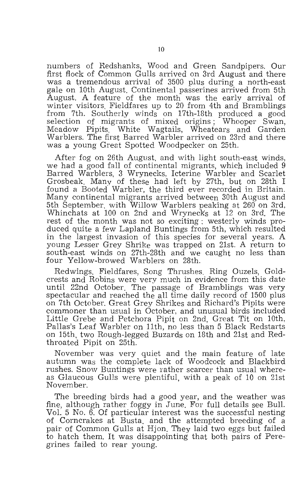numbers of Redshanks, Wood and Green Sandpipers. Our first flock of Common Gulls arrived on 3rd August and there was a tremendous arrival of 3500 plus during a north-east gale on 10th August. Continental passerines arrived from 5th August. A feature of the month was the early arrival of winter visitors, Fieldfares up to 20 from 4th and Bramblings from 7th. Southerly winds on 17th-18th produced a good selection of migrants of mixed origins; Whooper Swan, Meadow Pipits, White Wagtails, Wheatears and Garden Warblers. The first Barred Warbler arrived on 23rd and there was a young Great Spotted Woodpecker on 25th.

After fog on 26th August, and with light south-east winds, we had a good fall of continental migrants, which included 9 Barred Warblers, 3 Wrynecks, Icterine Warbler and Scarlet Grosbeak. Many of these had left by 27th, but on 28th I Many continental migrants arrived between 30th August and 5th September, with Willow Warblers peaking at 260 on 3rd, Whinchats at 100 on 2nd and Wryneck's at 12 on 3rd. The rest of the month was not so exciting; westerly winds produced quite a few Lapland Buntings from 5th, which resulted in the largest invasion of this species for several years. A young Lesser Grey Shrike was trapped on 21st. A return to south-east winds on 27th-28th and we caught no less than four Yellow-browed Warblers on 28th.

Redwings, Fieldfares, Song Thrushes. Ring Ouzels, Gold- crests and Robins were very much in evidence from this date until 22nd October. The passage of Bramblings was very spectacular and reached the all time daily record of 1500 plus on 7th October. Great Grey Shrikes and Richard's Pipits were commoner than usual in October, and unusual birds included Little Grebe and Petchora Pipit on 2nd, Great Tit on 10th, Pallas's Leaf Warbler on 11th, no less than 5 Black Redstarts on 15th, two Rough-legged Buzards on 18th and 21st and Redthroated Pipit on 25th.

November was very quiet and the main feature of late autumn was the complete lack of Woodcock and Blackbird as Glaucous Gulls were plentiful, with a peak of 10 on 21st November.

The breeding birds had a good year, and the weather was fine, although rather foggy in June. For full details see BulL Vol. 5 No. 6. Of particular interest was the successful nesting of Corncrakes at Busta. and the attempted breeding of a pair of Common Gulls at Hjon. They laid two eggs but failed to hatch them. It was disappointing that both pairs of Peregrines failed to rear young.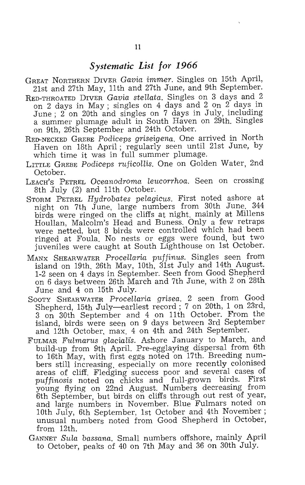### *Systematic List for 1966*

- GREAT NORTHERN DIVER *Gavia immer.* Singles on 15th April, 21st and 27th May, 11th and 27th June, and 9th September.
- RED-THROATED DIVER *Gavia stellata*. Singles on 3 days and 2 on 2 days in May; singles on 4 days and 2 on 2 days in June; 2 on 20th and singles on 7 days in July, including a summer plumage adult in South Haven on 29th. Singles on 9th, 26th September and 24th October.
- RED-NECKED GREBE *Podiceps griseigena.* One arrived in North Haven on 18th April; regularly seen until 21st June, by which time it was in full summer plumage.
- LITTLE GREBE *Podiceps ruficollis.* One on Golden Water, 2nd October.
- LEACH'S PETREL *Oceanodroma leucorrhoa.* Seen on crossing 8th July (2) and 11th October.
- STORM PETREL *Hydrobates pelagicus.* First noted ashore at night on 7th June, large numbers from 30th June. birds were ringed on the cliffs at night. mainly at Millens Houllan, Malcolm's Head and Buness. Only a few retraps were netted, but 8 birds were controlled which had been ringed at Foula. No nests or eggs were found, but two juveniles were caught at South Lighthouse on 1st October.
- MANX SHEARWATER *Procellaria pUffinus.* Singles seen from island on 19th, 26th May, 10th, 31st July and 14th August. 1-2 seen on 4 days in September. Seen from Good Shepherd on 6 days between 26th March and 7th June, with 2 on 28th June and 4 on 15th July.
- SOOTY iSHEARWATER *Procellaria grisea.* Q seen from Good Shepherd, 15th July-earliest record; 7 on 20th, 1 on 23rd, 3 on 30th September and 4 on 11th October. From the island, birds were seen on 9 days between 3rd September and 12th October, max. 4 on 4th and 24th September.
- FULMAR *Fulmarus glacialis.* Ashore January to March, and build-up from 9th April. Pre-egglaying dispersal from 6th to 16th May, with first eggs noted on 17th. Breeding numbers still increasing, especially on more recently colonised areas of cliff. Fledging success poor and several cases of *puffinosis* noted on chicks and full-grown birds. First young flying on 22nd August. Numbers decreasing from 6th September, but birds on cliffs through out rest of year, and large numbers in November. Blue Fulmars noted on 10th July, 6th September, 1st October and 4th November; unusual numbers noted from Good Shepherd in October, from 12th.
- GANNET *Sula bassana.* Small numbers offshore, mainly April to October, peaks of 40 on 7th May and 36 on 30th July.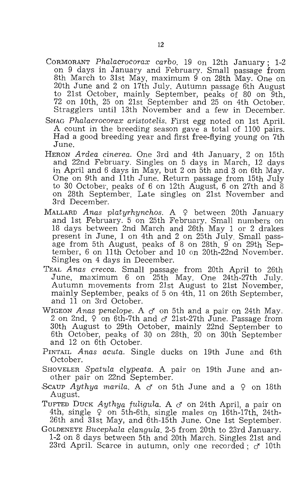- CORMORANT *Phalacrocorax carbo.* 19 on 12th January; 1-2 on 9 days in January and February. Small passage from 8th March to 31st May, maximum 9 on 28th May. One on 20th June and 2 on 17th July. Autumn passage 6th August to 21st October, mainly September, peaks of 80 on 9th, 72 on 10th, 25 on 21st September and 25 on 4th October. Stragglers until 13th November and a few in December.
- SHAG *Phalacrocorax aristotelis.* First egg noted on 1st April. A count in the breeding season gave a total of 1100 pairs. Had a good breeding year and first free-flying young on 7th June.
- HERON *Ardea cinerea.* One 3rd and 4th January, 2 on 15th and 22nd February. Singles on 5 days in March, 12 days in April and 6 days in May, but 2 on 5th and 3 on 6th May. One on 9th and 11th June. Return passage from 15th July to 30 October, peaks of 6 on 12th August, 6 on 27th and 8 on 28th September. Late singles on 21st November and 3rd December.
- MALLARD *Anas platyrhynchos.* A 9 between 20th January and 1st February. 5 on 25th February. Small numbers on 18 days between 2nd March and 26th May 1 or 2 drakes present in June, 1 on 4th and 2 on 25th July. Small passage from 5th August, peaks of 8 on 28th, 9 on 29th September, 6 on 11th October and 10 on 20th-22nd November. Singles on 4 days in December.
- TEAL *A nas crecca.* Small passage from 20th April to 26th June, maximum 6 on 25th May. One 24th-27th July. Autumn movements from 21st August to 21st November, mainly September, peaks of 5 on 4th, 11 on 26th September, and 11 on 3rd October.
- WIGEON Anas penelope. A  $\sigma$ <sup>t</sup> on 5th and a pair on 24th May. 2 on 2nd,  $\varphi$  on 6th-7th and  $\varphi$  21st-27th June. Passage from 30th August to 29th October, mainly 22nd September to 6th October, peaks of 30 on 28th, 20 on 30th September and 12 on 6th October.
- PINTAIL *Anas acuta.* Single ducks on 19th June and 6th October.
- SHOVELER *Spatula clypeata.* A pair on 19th June and another pair on 22nd September.
- Scaup *Aythya marila.* A  $\sigma$  on 5th June and a  $\varphi$  on 18th August.
- TUFTED DUCK Aythya fuligula. A  $\sigma$  on 24th April, a pair on 4th, single  $\varphi$  on 5th-6th, single males on 16th-17th, 24th-26th and 31st May, and 6th-15th June. One 1st September.
- GOLDENEYE *Bucephala clangula*. 2-5 from 20th to 23rd January.<br>1-2 on 8 days between 5th and 20th March. Singles 21st and 23rd April. Scarce in autumn, only one recorded;  $\sigma$  10th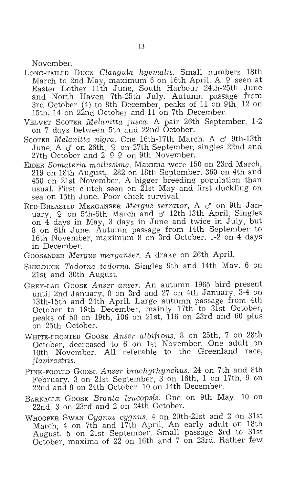November.

- LONG-TAILED DUCK *Clangula hyemalis.* Small numbers 18th March to 2nd May, maximum 6 on 16th April. A  $\varphi$  seen at Easter Lother 11th June, South Harbour 24th-25th June and North Haven 7th-25th July. Autumn passage from 3rd October (4) to 8th December, peaks of 11 on 9th, 12 on 15th, 14 on 22nd October and 11 on 7th December.
- VELVET SCOTER *Melanitta fusca.* A pair 26th September. 1-2 on 7 days between 5th and 22nd October.
- SCOTER *Melanitta nigra.* One 16th-17th March. A *cf* 9th-13th June. A  $\sigma$  on 26th,  $\varphi$  on 27th September, singles 22nd and 27th October and  $2 \times 2$  on 9th November.
- EIDER *Somater'ia mollissima,* Maxima were 150 on 23rd March, 219 on 18th August, 282 on 18th September, 360 on 4th and 450 on 21st November. A bigger breeding population than usual. First clutch seen on 21st May and first duckling on sea on 15th June. Poor chick survival.
- RED-BREASTED MERGANSER *Mergus serrator,* A *cf* on 9th January,  $\varphi$  on 5th-6th March and  $\sigma$  12th-13th April. Singles on 4 days in May, 3 days in June and twice in July, but 8 on 6th June. Autumn passage from 14th September to 16th November, maximum 8 on 3rd October. 1-2 on 4 days in December.
- GOOSANDER *Mergus merganser.* A drake on 26th April.
- SHELDUCK *Tadorna tadorna.* Singles 9th and 14th May. 6 on 21st and 30th August.
- GREY-LAG GOOSE *Anser anser.* An autumn 1965 bird present until 2nd January, 8 on 3rd and 27 on 4th January. 3-4 on 13th-15th and 24th April. Large autumn passage from 4th October to 19th December, mainly 17th to 31st October, peaks of 50 on 19th, 106 on 21st, 116 on 23rd and 60 plus on 25th October.
- WHITE-FRONTED GOOSE Anser albifrons. 8 on 25th, 7 on 28th October, decreased to 6 on 1st November. One adult on 10th November. All referable to the Greenland race, *flavirostris.*
- PINK-FOOTED GOOSE *Anser brachyrhynchus.* 24 on 7th and 8th February. 3 on 21st September, 3 on 16th, 1 on 17th, 9 on 22nd and 8 on 24th October. 10 on 14th December.
- BARNACLE GOOSE *Branta leucopsis.* One on 9th May. 10 on 22nd, 3 on 23rd and 2 on 24th October.
- WHOOPER SWAN *Cygnus cygnus.* 4 on 20th-21st and 2 on 31st March, 4 on 7th and 17th April. An early adult on 18th August. 5 on 21st September. Small passage 3rd to 31st October, maxima of 22 on 16th and, 7 on 23rd. Rather few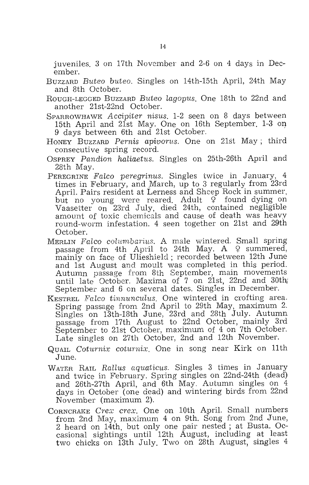juveniles. 3 on 17th November and 2-6 on 4 days in December.

- BUZZARD *Buteo buteo.* Singles on 14th-15th April, 24th May and 8th October.
- ROUGH-LEGGED BUZZARD *Buteo Lagopus.* One 18th to 22nd and another 21st-22nd October.
- SPARROWHAWK *Accipiter nisus.* 1-2 seen on 8 days between 15th April and 21st May. One on 16th September. 1-3 on 9 days between 6th and 21st October.
- HONEY BUZZARD *Pernis apivorus.* One on 21st May; third consecutive spring record.
- OSPREY *Pandion haliaetus.* Singles on 25th-26th April and 28th May.
- PEREGRINE *FaLeo peregrinus.* Singles twice in January, 4 times in February, and March, up to 3 regularly from 23rd April. Pairs resident at Lerness and Sheep Rock in summer, but no young were reared. Adult  $9$  found dying on Vaasetter on 23rd July, died 24th, contained negligible amount of toxic chemicals and cause of death was heavy round-worm infestation. 4 seen together on 21st and 29th October.
- MERLIN *FaZeo columbarius.* A male wintered. Small spring passage from 4th April to 24th May. A  $\varphi$  summered, mainly on face of Ulieshield; recorded between 12th June and 1st August and moult was completed in this period. Autumn passage from 8th September, main movements until late October. Maxima of 7 on 21st, 22nd and 30th. September and 6 on several dates. Singles in December.
- KESTREL Falco tinnunculus. One wintered in crofting area. Spring passage from 2nd April to 29th May, maximum 2. Singles on 13th-18th June, 23rd and 28th July. Autumn passage from 17th August to 22nd October, mainly 3rd September to 21st October, maximum of 4 on 7th October. Late singles on 27th October, 2nd and 12th November.
- QUAIL *Coturnix coturnix.* One in song near Kirk on 11th June.
- WATER RAIL *Rallus aquaticus.* Singles 3 times in January and twice in February. Spring singles on 22nd-24th (dead) and 26th-27th April, and 6th May. Autumn singles on 4 days in October (one dead) and wintering birds from 22nd November (maximum 2).
- CORNCRAKE *Crex crex.* One on 10th April. Small numbers from 2nd May, maximum 4 on 9th. Song from 2nd June, 2 heard on 14th, but only one pair nested; at Busta. Occasional sightings until 12th August, including at least two chicks on 13th July. Two on 28th August, singles 4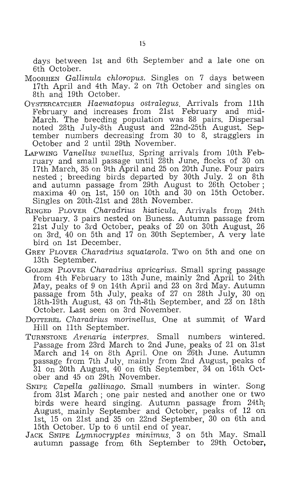days between 1st and 6th September and a late one on 6th October.

- MOORHEN *Gallinula chloropus.* Singles on 7 days between 17th April and 4th May. 2 on 7th October and singles on 8th and 19th October.
- OYSTERCATCHER *Haematopus ostralegus.* Arrivals from 11th February and increases from 21st February and mid-March. The breeding population was 88 pairs. Dispersal noted 28th July-8th August and 22nd-25th August. September numbers decreasing from 30 to 8, stragglers in October and 2 until 29th November.
- LAPWING *VanelIus vanellus.* Spring arrivals from 10th February and small passage until 28th June, flocks of 30 on 17th March, 35 on 9th April and 25 on 20th June. Four pairs nested; breeding birds departed by 30th July. 2 on 8th and autumn passage from 29th August to 26th October; maxima 40 on 1st, 150 on 10th and 30 on 15th October. Singles on 20th-21st and 28th November.
- RINGED PLOVER *Charadrius hiaticula.* Arrivals from 24th February. 3 pairs nested on Buness. Autumn passage from 21st July to 3rd October, peaks of 20 on 30th August, 26 on 3rd, 40 on 5th and 17 on 30th September, A very late bird on 1st December.
- GREY PLOVER *Charadrius squatarola.* Two on 5th and one on 13th September.
- . GOLDEN PLOVER *Charadrius apricarius.* Small spring passage from 4th February to 13th June, mainly 2nd April to 24th May, peaks of 9 on 14th April and 23 on 3rd May. Autumn passage from 5th July, peaks of 27 on 28th July, 30 on 18th-19th August, 43 on 7th-8th September, and 23 on 18th October. Last seen on 3rd November.
- DOTTEREL *Chamdrius morinellus.* One at summit of Ward Hill on 11th September.
- TURNSTONE *Arenaria interpres.* Small numbers wintered. Passage from 23rd March to 2nd June, peaks of 21 on 31st March and 14 on 8th April. One on 26th June. Autumn passage from 7th July, mainly from 2nd August, peaks of  $31$  on 20th August,  $40$  on 6th September,  $34$  on  $16th$  October and 45 on 29th November.
- SNIPE *Capella gallinago*. Small numbers in winter. Song from 31st March; one pair nested and, another one or two birds were heard singing. Autumn passage from 24th; August, mainly September and October, peaks of 12 on 1st, 15 on 21st and 35 on 22nd September, 30 on 6th and 15th October. Up to 6 until end of year.
- JACK SNIPE *Lymnocryptes minimus.* 3 on 5th May. Small autumn passage from 6th September to 29th October,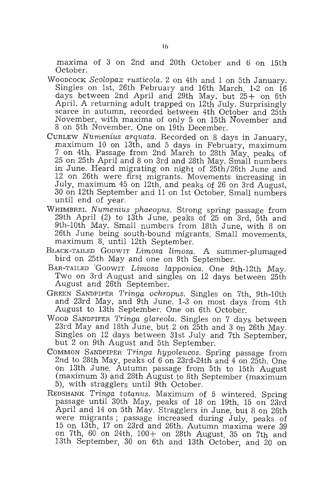maxima of 3 on 2nd and 20th October and 6 on 15th October.

- WOODCOCK *Scolopax rusticola.* 2 on 4th and 1 on 5th January. Singles on 1st, 26th February and 16th March. 1-2 on 16 days between 2nd April and 29th May, but 25 + on 6th April. A returning adult trapped on 12th July. Surprisingly scarce in autumn, recorded between 4th October and 25th November, with maxima of only 5 on 15th November and 8 on 5th November. One on 19th December.
- CURLEW *Numenius arquata.* Recorded on 8 days in January, maximum 10 on 13th, and 5 days in February, maximum 7 on 4th. Passage from 2nd March to 28th May, peaks of 25 on 25th April and 8 on 3rd and 28th May. Small numbers in June. Heard migrating on night of 25th/26th June and 12 on 26th were first migrants. Movements increasing in July, maximum 45 on 12th, and peaks of 26 on 3rd August, 30 on 12th September and 11 on 1st October. Small numbers until end of year.
- WHIMBREL *Numenius phaeopus.* Strong spring passage from 29th April (2) to 13th June, peaks of 25 on 3rd, 5th and 9th-10th May. Small numbers from 18th June, with 8 on 26th June being south-bound migrants. Small movements, maximum 8, until 12th September.
- BLACK-TAILED GODWIT *Limosa limosa*. A summer-plumaged bird on 25th May and one on 9th September.
- BAR-TAILED 'GODWIT *Limosa lapponica.* One 9th-12th May. Two on 3rd August and singles on 12 days between 25th August and 26th September.
- GREEN SANDPIPER *Tringa ochropus.* Singles on 7th, 9th-10th and 23rd May, and 9th June. 1-3 on most days from 4th August to 13th September. One on 6th October.
- WOOD SANDPIPER *Tringa glareola.* Singles on 7 days between 23rd May and 18th June, but 2 on  $25th$  and 3 on  $26th$  May. Singles on 12 days between 31st July and 7th September, but 2 on 9th August and 5th September.
- COMMON SANDPIPER *Tringa hypoleucos*. Spring passage from 2nd to 28th May, peaks of  $6$  on 23rd-24th and  $4$  on 25th. One On 13th June. Autumn passage from 5th to 15th August (maximum 3) and 28th August to 8th September (maximum 5), with stragglers until 9th October.
- REDSHANK *Tringa totanus.* Maximum of 5 wintered. Spring passage until 30th May, peaks of 18 on 19th, 15 on 23rd April and 14 on 5th May. Stragglers in June, but 8 on 26th were migrants; passage increased during July, peaks of 15 On 13th, 17 on 23rd and 26th. Autumn maxima were 39 on 7th, 60 on 24th, 100+ on 28th August, 35 on 7th and 13th September, 30 on 6th and 13th October, and 20 on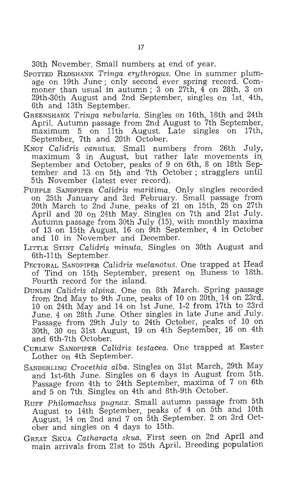30th November. Small numbers at end of year.

- SPOTTED REDSHANK *Tringa erythropus*. One in summer plumage on 19th June; only second ever spring record. Commoner than usual in autumn; 3 on 27th, 4 on 28th, 3 on 29th-30th August and 2nd September, singles on 1st, 4th, 6th and 13th September.
- GREENSHANK *Tringa nebularia.* Singles on 16th, 18th and 24th April. Autumn passage from 2nd August to 7th September, maximum 5 on 11th August. Late singles on 17th, September, 7th and 20th October.
- KNOT *Calidris canutus.* Small numbers from 26th July, maximum  $3$  in August, but rather late movements in September and October, peaks of 9 on 6th, 8 on 18th September and 13 on 5th and 7th October; stragglers until 5th November (latest ever record).
- PURPLE SANDPIPER *Calidris maritima.* Only singles recorded on 25th January and 3rd February. Small passage from 20th March to 2nd June. peaks of 21 on 15th, 25 on 27th April and 20 on 24th May. Singles on 7th and 21st July. Autumn passage from 30th July (15), with monthly maxima of 13 on 15th August, 16 on 9th September, 4 in October and 10 in November and December.
- LITTLE STINT *Calidris minuta*. Singles on 30th August and 6th-11<sup>th</sup> September.
- PECTORAL SANDPIPER *Calidris melanotus.* One trapped at Head of Tind on 15th September, present on Buness to 18th. Fourth record for the island.
- DUNLIN *Calidris alpina.* One on 8th March. Spring passage from 2nd May to 9th June, peaks of 10 on 20th,  $14$  on 23rd, 10 on 24th May and 14 on 1st June. 1-2 from 17th to 23rd June. 4 on 28th June. Other singles in late June and July. Passage from 29th July to 24th October, peaks of 10 on 30th, 30 on 31st August, 19 on 4th Septem15er, 16 on 4th and 6th-7th October.
- CURLEW SANDPIPER *Calidris testacea.* One trapped at Easter Lother on 4th September.
- SANDERLING *Crocethia alba.* Singles on 31st March, 29th May and 1st-6th June. Singles on 6 days in August from 5th. Passage from 4th to 24th September, maxima of 7 on 6th and 5 on 7th. Singles on 4th and 8th-9th October.
- RUFF *Philomachus pugnax.* Small autumn passage from 5th August to 14th September, peaks of 4 on 5th and 10th August, 14 on 2nd and 7 on 5th September. 2 on 3rd October and singles on 4 days to 15th.
- GREAT SKUA *Catharacta skua.* First seen on 2nd April and main arrivals from 21st to 25th April. Breeding population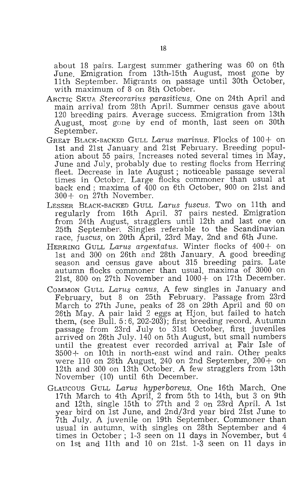about 18 pairs. Largest summer gathering was 60 on 6th June. Emigration from 13th-15th August, most gone by 11th September. Migrants on passage until 30th October, with maximum of 8 on 8th October.

- ARCTIC SKUA *Stercorarius parasiticus.* One on 24th April and main arrival from 28th April. Summer census gave about 120 breeding pairs. Average success. Emigration from 13th August, most gone by end of month, last seen on 30th September.
- GREAT BLACK-BACKED GULL *Larus marinus.* Flocks of 100+ on 1st and 21st January and 21st February. Breeding population about 55 pairs. Increases noted several times in May, June and July, probably due to resting flocks from Herring fleet. Decrease in late August; noticeable passage several times in October. Large flocks commoner than usual at back end; maxima of 400 on 6th October, 900 on 21st and 300+ on 27th November.
- LESSER BLACK-BACKED GULL *Larus fuscus.* Two on 11th and regularly from 16th April. 37 pairs nested. Emigration from 24th August, stragglers until 12th and last one on 25th September. Singles referable to the Scandinavian race, *fuscus,* on 20th April, 23rd May, 2nd and 6th June.
- HERRING GULL *Larus argentatus.* Winter flocks of 400+ on 1st and 300 on 26th and 28th January. A good breeding season and census gave about 315 breeding pairs. Late autumn flocks commoner than usual. maxima of 3000 on 21st, 800 on 27th November and 1000+ on 17th December.
- COMMON GULL *Larus canus.* A few singles in January and February, but 8 on 25th February. Passage from 23rd March to 27th June, peaks of 28 on 29th April and 60 on 26th May. A pair laid 2 eggs at Hjon. but failed to hatch them, (see Bull.  $5:6$ ,  $202-20\overline{3}$ ); first breeding record. Autumn passage from 23rd July to 31st October, first juveniles arrived on 26th July. 140 on 5th August, but small numbers until the greatest ever recorded arrival at Fair Isle of 3500+ on 10th in north-east wind and rain. Other peaks were  $110$  on 28th August, 240 on 2nd September, 200+ on 12th and 300 on 13th October. A few stragglers from 13th November (10) until 6th December.
- GLAUCOUS GULL *Larus hyperboreus.* One 16th March. One 17th March to 4th April, 2 from 5th to 14th, but 3 on 9th and 12th, single 15th to 27th and 2 on 23rd April. A 1st year bird on 1st June, and 2nd/3rd year bird 21st June to 7th July. A juvenile on 19th September. Commoner than usual in autumn, with singles on 28th September and 4 times in October; 1-3 seen on 11 days in November, but 4 on 1st and 11th and 10 on 21st. 1-3 seen on 11 days in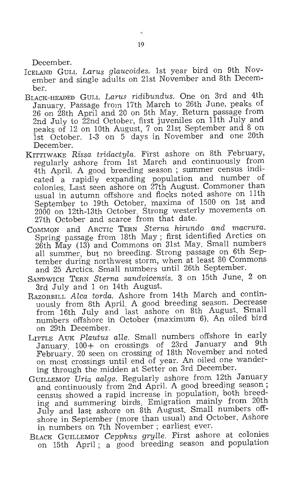December.

- ICELAND GULL *Larus gIaucoides.* 1st year bird on 9th November and single adults on 21st November and 8th December.
- BLACK-HEADED GULL *Larus ridibundus.* One on 3rd and 4th January. Passage from 17th March to 26th June, peaks of 26 on 28th April and 20 on 5th May. Return passage from 2nd July to 22nd October, first juveniles on 11th July and peaks of 12 on 10th August, 7 on 21st September and 8 on 1st October. 1-3 on 5 days in November and one 20th December.
- KITTIWAKE *Rissa tridactyla.* First ashore on 8th February, regularly ashore from 1st March and continuously from 4th April. A good breeding season; summer census indicated a rapidly expanding population and number of colonies. Last seen ashore on 27th August. Commoner than usual in autumn offshore and flocks noted ashore on 11th September to 19th October, maxima of 1500 on 1st and 2000 on 12th-13th October. Strong westerly movements on 27th October and scarce from that date.
- COMMON and ARCTIC TERN *Sterna hirundo and macrura.*  Spring passage from 18th May; first identified Arctics on 26th May (13) and Commons on 31st May. Small numbers all summer, but no breeding. Strong passage on 6th September during northwest storm, when at least 80 Commons and 25 Arctics. Small numbers until 26th September.
- SANDWICH TERN *Sterna sandvicensis.* 3 on 15th June, 2 on 3rd July and 1 on 14th August.
- RAZORBILL Alca torda. Ashore from 14th March and continuously from 8th April. A good breeding season. Decrease from 16th July and last ashore on 8th August. Small numbers offshore in October (maximum 6).  $A_n$  oiled bird on 29th December.
- LITTLE AUK Plautus alle. Small numbers offshore in early January, 100+ on crossings of 23rd January and 9th February. 20 seen on crossing of 18th November and noted on most crossings until end of year. An oiled one wandering through the midden at Setter on 3rd December.
- GUILLEMOT *Uria aaIge.* Regularly ashore from 12th January and continuously from 2nd April. A good breeding season; census showed a rapid increase in population, both breeding and summering birds. Emigration mainly from 20th July and last ashore on 8th August. Small numbers offshore in September (more than usual) and October. Ashore in numbers on 7th November; earliest ever.
- BLACK GUILLEMOT *Cepphus grylIe.* First ashore at colonies on 15th April; a good breeding season and population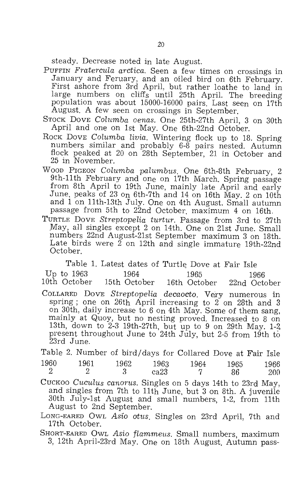steady. Decrease noted in late August.

- PUFFIN *Fratercula arctica.* Seen a few times on crossings in First ashore from 3rd April, but rather loathe to land in large numbers on cliffs until 25th April. The breeding population was about 15000-16000 pairs. Last seen on 17th August. A few seen on crossings in September.
- STOCK DOVE *Calumba aenas.* One 25th-27th April, 3 on 30th April and one on 1st May. One 6th-22nd October.
- ROCK DOVE *Columba livia*. Wintering flock up to 18. Spring numbers similar and probably 6-8 pairs nested. Autumn flock peaked at 20 on 28th September, 21 in October and 25 in November.
- WOOD PIGEON Columba palumbus. One 6th-8th February, 2 9th-11 th February and one on 17th March. Spring passage from 8th April to 19th June, mainly late April and early June, peaks of 23 On 6th-7th and 14 on 16th May. 2 on 10th and 1 on 11th-13th July. One on 4th August. Small autumn passage from 5th to 22nd October. maximum 4 on 16th.
- TURTLE DOVE *Streptopelia turtur*. Passage from 3rd to 27th May, all singles except 2 on 14th. One on 21st June. Small numbers 22nd August-21st September maximum 3 on 18th. Late birds were  $\tilde{2}$  on 12th and single immature 19th-22nd October.

Table 1. Latest dates of Turtle Dove at Fair Isle Up to 1963 1964 1965 1966<br>10th October 15th October 16th October 22nd October 16th October

COLLARED DOVE *Streptope'lia decaocto.* Very numerous in spring ; one on 26th April increasing to  $2$  on 28th and 3 on 30th, daily increase to 6 on 4th May. Some of them sang, mainly at Quoy, but no nesting proved. Increased to 8 on 13th, down to 2-3 19th-27th, but up to 9 on 29th May. 1-2 present throughout June to 24th July, but 2-5 from 19th to 23rd June.

Table 2. Number of bird/days for Collared Dove at Fair Isle 1960 1961 1962 1963 1964 1965 1966

- 2 2 3 ca $23$  7 86 200 CUCKOO *Cuculus canarus.* Singles on 5 days 14th to 23rd May, and singles from 7th to 11th June, but 3 on 8th. A juvenile 30th July-1st August and small numbers, 1-2, from 11th August to 2nd September.
- LONG-EARED OWL *Asia atus.* Singles on 23rd April, 7th and 17th October.
- SHORT-EARED OWL *Asia flammeus.* Small numbers, maximum 3, 12th April-23rd May. One on 18th August. Autumn pass-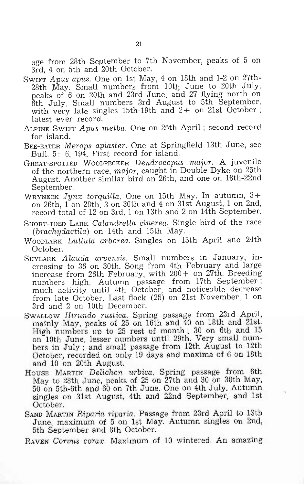age from 28th September to 7th November, peaks of 5 on 3rd, 4 on 5th and 20th October.

- SWIFT *Apus apus.* One on 1st May, 4 on 18th and 1-2 on 27thpeaks of 6 on 20th and 23rd June, and 27 flying north on 6th July. Small numbers 3rd August to 5th September, with very late singles 15th-19th and  $2+$  on 21st October; latest ever record.
- ALPINE SWIFT *Apus melba.* One on 25th April ; second record for island.
- BEE-EATER *Merops apiaster.* One at Springfield 13th June, see Bull. 5: 6, 194. First record for island.
- GREAT-SPOTTED WOODPECKER *Dendrocopus major.* A juvenile of the northern race, *major,* caught in Double Dyke on 25th August. Another similar bird on 26th, and one on 18th-22nd September.
- WRYNECK *Jynx torquilla.* One on 15th May. In autumn, 3+ on 26th, 1 on 28th, 3 on 30th and 4 on 31st August, 1 on 2nd, record total of 12 on 3rd, 1 on 13th and 2 on 14th September.
- SHORT-TOED LARK *Calandrella cinerea.* Single bird of the race *(brachydactila)* on 14th and 15th May.
- WOODLARK *Lullula arborea.* Singles on 15th April and 24th October.
- SKYLARK *Alauda arvensis*. Small numbers in January, increasing to 36 on 30th. Song from 4th February and large increase from 26th February, with 200+ on 27th. Breeding numbers high. Autumn passage from 17th September ; much activity until 4th October, and noticeable decrease from late October. Last flock (25) on 21st November, 1 on 3rd and 2 on 10th December.
- SwaLLow *Hirundo rustica*. Spring passage from 23rd April, mainly May, peaks of 25 on 16th and 40 on 18th and 21st. High numbers up to 25 rest of month; 30 on 6th and 15 on 10th June, lesser numbers until 29th. Very small numbers in July; and small passage from 12th August to 12th October, recorded on only 19 days and maxima of 6 on 18th and 10 on 20th August.
- HOUSE MARTIN *Delichon urbica.* Spring passage from 6th May to 28th June, peaks of 25 on 27th and 30 on 30th May, 50 on 5th-6th and 60 on 7th June. One on 4th July. Autumn singles on 31st August, 4th and 22nd September, and 1st October.
- SAND MARTIN *Riparia Tiparia.* Passage from 23rd April to 13th June, maximum of 5 on 1st May. Autumn singles on 2nd, 5th September and 8th October.
- RAVEN *COTVUS corax.* Maximum of 10 wintered. An amazing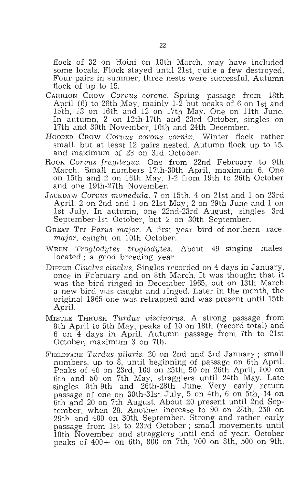flock of 32 on Hoini on 18th March, may have included some locals. Flock stayed until 21st, quite a few destroyed. Four pairs in summer, three nests were successful. Autumn flock of up to 15.

- CARRION CROW *Corvus corone.* Spring passage from 18th April (6) to 26th May, mainly  $1-\overline{2}$  but peaks of 6 on 1st and 15th, 13 on 16th and 12 on 17th May. One on 11th June. In autumn, 2 on 12th-17th and 23rd October, singles on 17th and 30th November, 10th and 24th December.
- HOODED CROW *C07"VUS corone cornix.* Winter flock rather small, but at least 12 pairs nested. Autumn flock up to 15, and maximum of 23 on 3rd October.
- Rook Corvus frugilegus. One from 22nd February to 9th March. Small numbers 17th-30th April, maximum 6. One on 15th and 2 on 16th May. 1-2 from 19th to 26th October and one 19th-27th November.
- JACKDAW *Corvus monedula.* 7 on 15th, 4 on 21st and 1 on 23rd April. 2 on 2nd and 1 on 21st May; 2 on 29th June and 1 on 1st July. In autumn, one 22nd-23rd August, singles 3rd September-1st October, but 2 on 30th September.
- GREAT TIT *Parus major.* A first year bird of northern race, *major,* caught on 10th October.
- WREN *Troglodytes trogLodytes.* About 49 singing males located; a good breeding year.
- DIPPER *Cinclus cindus.* Singles recorded on 4 days in January, once in February and on 8th March. It was thought that it was the bird ringed in December 1965, but on 13th March a new bird was caught and ringed. Later in the month, the original 1965 one was retrapped and was present until 15th April.
- MISTLE THRUSH *Turdus viscivorus.* A strong passage from 8th April to 5th May, peaks of 10 on 18th (record total) and 6 on 4 days in April. Autumn passage from 7th to 21st October, maximum 3 on 7th.
- FIELDFARE *Turdus piLaris.* 20 on 2nd and 3rd January; small numbers, up to  $\hat{\delta}$ , until beginning of passage on  $6\text{th}$  April. Peaks of 40 on 23rd, 100 on 25th, 50 on 26th April, 100 on 6th and 50 on 7th May, stragglers until 24th May. Late singles 8th-9th and 26th-28th June. Very early return passage of one on 30th-31st July, 5 on 4th, 6 on 5th, 14 on 6th and 20 on 7th August. About 20 present until 2nd September, when 28. Another increase to 90 on 28th, 250 on 29th and 400 on 30th September. Strong and rather early passage from 1st to 23rd October; small movements until 10th November and stragglers until end of year. October peaks of 400+ on 6th, 800 on 7th, 700 on 8th, 500 on 9th,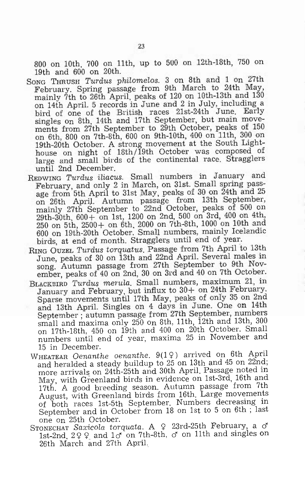800 on 10th, 700 on 11th, up to 500 on 12th-18th, 750 on 19th and 600 on 20th.

- SONG THRUSH *Turdus philomelos.* 3 on 8th and 1 on 27th February. Spring passage from 9th March to 24th May, mainly 7th to 26th April, peaks of 120 on 10th-13th and 130 on 14th April. 5 records in June and 2 in July, including a bird of one of the British races 21st-24th June. Early singles on 8th, 14th and 17th September, but main movements from 27th September to 29th October, peaks of 150 on 6th, 800 on 7th-8th, 600 on 9th-10th, 400 on 11th, 300 on 19th-20th October. A strong movement at the South Lighthouse on night of 18th/19th October was composed of large and small birds of the continental race. Stragglers until 2nd December.
- REDWING *Turdus iliacus.* Small numbers in January and February, and only 2 in March, on 31st. Small spring passage from 5th April to 31st May, peaks of 30 on 24th and 25 on 26th April. Autumn passage from 13th September, mainly 27th September to 22nd October, peaks of 500 on 29th-30th, 600+ on 1st, 1200 on 2nd, 500 on 3rd, 400 on 4th, 250 on 5th, 2500+ on 6th, 2000 on 7th-8th, 1000 on 10th and 600 on 19th-20th October. Small numbers, mainly Icelandic birds, at end of month. Stragglers until end of year.
- RING OUZEL *TUTdus t07·quatus.* Passage from 7th April to 13th June, peaks of 30 on 13th and 22nd April. Several males in song. Autumn passage from 27th September to 9th November, peaks of 40 on 2nd, 30 on 3rd and 40 on 7th October.
- BLACKEIRD *Turdus merula*. Small numbers, maximum 21, in January and February, but influx to 30+ on 24th February. Sparse movements until 17th May, peaks of only 35 on 2nd and 13th April. Singles on 4 days in June. One on 14th September; autumn passage from 27th September, numbers small and maxima only 250 on 8th, 11th, 12th and 13th, 300 on 17th-18th, 450 on 19th and 400 on 20th October. Small numbers until end of year, maxima 25 in November and 15 in December.
- WHEATEAR *Oenanthe oenanthe.* 9(19) arrived on 6th April and heralded a steady buildup to 25 on 13th and 45 on 22nd; more arrivals on 24th-25th and 30th April. Passage noted in May, with Greenland birds in evidence on 1st-3rd, 16th and 17th. A good breeding season. Autumn passage from 7th August, with Greenland birds from 16th. Large movements of both races 1st-5th September. Numbers decreasing in September and in October from 18 on 1st to 5 on 6th; last one on 25th October.
- STONECHAT Saxicola torquata. A 9 23rd-25th February, a c<sup>o</sup> 1st-2nd,  $2 Q Q$  and  $1 \sigma$  on 7th-8th,  $\sigma$  on 11th and singles on 26th March and 27th April..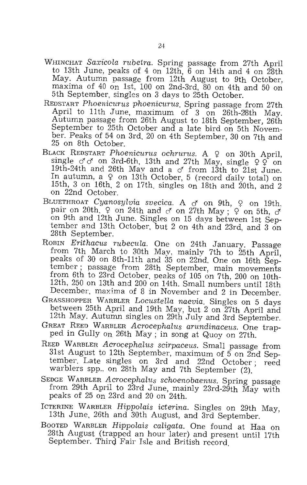- WHINCHAT *Saxi'cola rubetra.* Spring passage from 27th April to 13th June, peaks of 4 on 12th, 6 on 14th and 4 on 28th May. Autumn passage from 12th August to 9th October, maxima of 40 On 1st, 100 on 2nd-3rd, 80 on 4th and 50 on 5th September, singles on 3 days to 25th October.
- REDSTART *Phoenicurus phoenicurus*. Spring passage from 27th April to 11th June, maximum of 3 on 26th-28th May. Autumn passage from 26th August to 18th September, 26th ber. Peaks of 54 on 3rd, 20 on 4th September, 30 on 7th and 25 on 8th October.
- BLACK REDSTART *Phoenicurus ochrurus*. A 9 on 30th April, single  $\sigma' \sigma'$  on 3rd-6th, 13th and 27th May, single  $\varphi \varphi'$  on 19th-24th and 26th May and a  $\sigma$  from 13th to 21st June. In autumn, a  $\varphi$  on 13th October, 5 (record daily total) on 15th, 3 on 16th. 2 on 17th, singles on 18th and 20th, and 2
- on 22nd October.<br>BLUETHROAT Cyanosylvia svecica. A  $\sigma$  on 9th,  $\varphi$  on 19th. pair on 20th,  $\varphi$  on 24th and  $\varphi$  on 27th May;  $\varphi$  on 5th,  $\varphi$ on 9th and 12th June. Singles on 15 days between 1st September and 13th October, but 2 on 4th and 23rd, and 3 on 28th September.
- ROBIN *Erithacus rubecula.* One on 24th January. Passage from 7th March to 30th May, mainly 7th to 25th April, peaks of 30 on 8th-11th and 35 on 22nd. One on 16th September; passage from 28th September, main movements from 6th to 23rd October, peaks of 105 on 7th, 200 on 10th-12th, 250 on 13th and 200 on 14th. Small numbers until 18th December, maxima of 8 in November and 2 in December.
- GRASSHOPPER WARBLER *Locustella naevia.* Singles on 5 days between 25th April and 19th May, but 2 on 27th April and 12th May. Autumn singles on 29th July and 3rd September.
- GREAT REED WARBLER *Acrocephalus arundinaceus.* One trapped in Gully on 26th May; in song at Quoy on 27th.
- REED WARBLER *Acrocephalus scirpaceus.* Small passage from 31st August to 12th September, maximum of 5 on 2nd September. Late singles on 3rd and 22nd October; reed warblers spp., on 28th May and 7th September (2).
- SEDGE WARBLER *Acrocephalus schoenobaenus.* Spring passage from 29th April to 23rd June, mainly 23rd-29th May with peaks of 25 On 23rd and 20 on 24th.
- ICTERINE WARBLER *Hippolais icterina.* Singles on 29th May, 13th June, 26th and 30th August, and 3rd September.
- BOOTED WARBLER *Hippolais caligata.* One found at Haa on 28th August (trapped an hour later) and present until 17th September. Third Fair Isle and British record.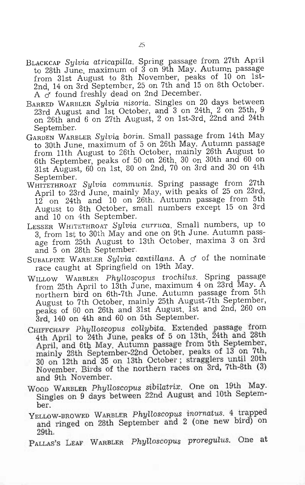- BLACKCAP *Sylvia atricapilla.* Spring passage from 27th April to 28th June, maximum of  $3$  on 9th May. Autumn passage from 31st August to 8th November, peaks of 10 on 1st-2nd, 14 on 3rd September, 25 on 7th and 15 on 8th October. A  $\sigma$  found freshly dead on 2nd December.
- BARRED WARBLER *Sylvia nisoria.* Singles on 20 days between 23rd August and 1st October, and 3 on 24th, 2 on 25th, 9 on 26th and 6 on 27th August, 2 on 1st-3rd, 22nd and 24th September.
- GARDEN WARBLER *Sylvia borin*. Small passage from 14th May to 30th June, maximum of 5 on 26th May. Autumn passage from 11th August to 26th October, mainly 26th August to 6th September, peaks of 50 on 26th, 30 on 30th and 60 on 31st August, 60 on 1st, 80 on 2nd, 70 on 3rd and 30 on 4th September.
- WHITETHROAT *Sylvia communis.* Spring passage from 27th April to 23rd June, mainly May, with peaks of 25 on 23rd, 12 on 24th and 10 on 26th. Autumn passage from 5th August to 8th October, small numbers except 15 on 3rd and 10 on 4th September.
- LESSER WHITETHROAT *Sylvia curruca.* Small numbers, up to 3, from 1st to 30th May and one on 9th June. Autumn passage from 25th August to 13th October, maxima 3 on 3rd and 5 on 28th September.
- SUBALPINE WARBLER *Sylvia cantillans*. A  $\sigma$  of the nominate race caught at Springfield on 19th May.
- WILLOW WARBLER *Phylloscopus trochilus.* Spring passage from 25th April to 13th June, maximum 4 on 23rd May. A northern bird on 6th-7th June. Autumn passage from 5th August to 7th October, mainly 25th August-7th September, peaks of 60 on 26th and 31st August, 1st and 2nd, 260 on 3rd, 140 on 4th and 60 on 5th September.
- CHIFFCHAFF *PhyLloscopus coLlybita.* Extended passage from 4th April to 24th June, peaks of 5 on 13th, 24th and 28th April, and 6tb May. Autumn passage from 5th September, mainly 28th September-22nd October, peaks of 13 on 7th, 30 on 12th and 35 on 13th October; stragglers until 20th November. Birds of the northern races on 3rd, 7th-8th (3) and 9th November.
- WOOD WARBLER *PhyLloscopus sibilatrix.* One on 19th May. Singles on 9 days between 22nd August and 10th September.
- YELLOW-BROWED WARBLER *Phylloscopus inornatus.* 4 trapped and ringed on 28th September and 2 (one new bird) on 29th.
- PALLAS'S LEAF WARBLER *Phylloscopus proregulus.* One at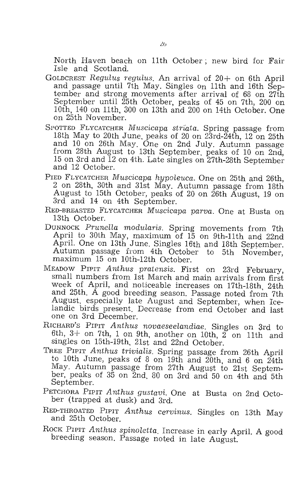North Haven beach on 11th October; new bird for Fair Isle and Scotland.

- GOLDCREST *Regulus regulus.* An arrival of 20+ on 6th April and passage until 7th May. Singles on 11th and 16th September and strong movements after arrival of 68 on 27th September until 25th October, peaks of 45 on 7th, 200 on 10th, 140 on 11th, 300 on 13th and 200 on 14th October. One on 25th November.
- SPOTTED FLYCATCHER *Muscicapa striata.* Spring passage from 18th May to 20th June, peaks of 20 on 23rd-24th, 12 on 25th and 10 on 26th May. One on 2nd July. Autumn passage from 28th August to 13th September, peaks of 10 on 2nd, 15 on 3rd and 12 on 4th. Late singles on 27th-28th September and 12 October.
- PIED FLYCATCHER *Muscicapa hypoleuca.* One on 25th and 26th, 2 on 28th, 30th and 31st May. Autumn passage from 18th August to 15th October, peaks of 20 on 26th August, 19 on 3rd and 14 on 4th September.
- RED-BREASTED FLYCATCHER *.Muscicapa parva.* One at Busta on 13th October.
- DUNNOCK *Prunella modularis.* Spring movements from 7th April to 30th May, maximum of  $15$  on 9th-11th and 22nd April. One on 13th June. Singles 16th and 18th September. Autumn passage from 4th October to 5th November, maximum 15 on 10th-12th October.
- MEADOW PIPIT *Anthus pratensis.* First on 23rd February, small numbers from 1st March and main arrivals from first week of April, and noticeable increases on 17th-18th, 24th and 25th. A good breeding season. Passage noted from 7th August, especially late August and September, when Icelandic birds present. Decrease from end October and last one on 3rd December.
- RICHARD'S PIPIT *Anthus novaeseelandiae.* Singles on 3rd to 6th, 3+ on 7th, 1 on 9th, another on 10th, 2 on 11th and singles on 15th-19th, 21st and 22nd October.
- TREE PIPIT *Anthus trivialis.* Spring passage from 26th April to 10th June, peaks of 8 on 19th and 20th, and 6 on 24th May. Autumn passage from 27th August to 21st September, peaks of 35 on 2nd, 80 on 3rd and 50 on 4th and 5th September.
- PETCHORA PIPIT *Anthus gustavi.* One at Busta on 2nd October (trapped at dusk) and 3rd.
- RED-THROATED PIPIT *Anthus cervinus.* Singles on 13th May and 25th October.
- ROCK PIPIT Anthus spinoletta. Increase in early April. A good breeding season. Passage noted in late August.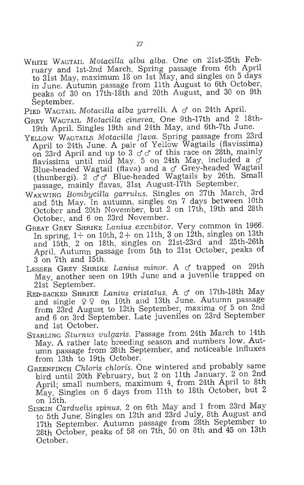- WHITE WAGTAIL *MotacilLa alba alba.* One on 21st-25th February and 1st-2nd March. Spring passage from 6th April to 31st May, maximum 18 on 1st May, and singles on 5 days in June. Autumn passage from 11th August to 6th October, peaks of 30 on 17th-18th and 20th August, and 30 on 9th September.
- PIED WAGTAIL *Motacilla alba yarrelli*. A  $\sigma$  on 24th April.
- GREY WAGTAIL *Mo tacilIa cinerea.* One 9th-17th and 2 18th-19th April. Singles 19th and 24th May, and 6th-7th June.
- YELLOW WAGTAILS *Motacilla flava*. Spring passage from 23rd April to 24th June. A pair of Yellow Wagtails (flavissima) on 23rd April and up to 3  $d d$  of this race on 28th, mainly flavissima until mid May. 5 on 24th May, included a o Blue-headed Wagtail (flava) and a  $\sigma$  Grey-headed Wagtail (thunbergi). 2  $\vec{\sigma}$   $\vec{\sigma}$  Blue-headed Wagtails by 26th. Small passage, mainly flavas, 31st August-17th September.
- WAXWING *Bombycilla garrulus.* Singles on 27th March, 3rd and 5th May. In autumn, singles on 7 days between 10th October and 20th November, but 2 on 17th, 19th and 28th October, and 6 on 23rd November.
- GREAT GREY SHRIKE *Lanius excubitor.* Very common in 1966. In spring,  $1+$  on 10th,  $2+$  on 11th, 3 on 12th, singles on 13th and 15th, 2 on 18th, singles on 21st-23rd and 25th-26th April. Autumn passage from 5th to 21st October, peaks of 3 on 7th and 15th.
- LESSER GREY SHRIKE *Lanius minor*. A  $\sigma$  trapped on 29th May, another seen on 19th June and a juvenile trapped on 21st September.
- RED-BACKED SHRIKE *Lanius cristatus.* A *d* on 17th-18th May and single  $99$  on 10th and 13th June. Autumn passage from 23rd August to 12th September, maxima of 5 on 2nd and 6 on 3rd September. Late juveniles on 23rd September and 1st October.
- STARLING *Sturnus vulgaris.* Passage from 24th March to 14th May. A rather late breeding season and numbers low. Autumn passage from 28th September, and noticeable influxes from 13th to 19th October.
- GREENFINCH *Chloris chloris.* One wintered and probably same bird until 20th February, but 2 on 11th January. 2 on 2nd April; small numbers, maximum 4, from 24th April to 8th May. Singles on6 days from 11th to 18th October, but 2 on 15th.
- SISKIN *Carduelis spinus.* 2 on 6th May and 1 from 23rd May to 5th June: Singles on 12th and 23rd July, 8th August and 17th September. Autumn passage from 28th September to 28th October, peaks of 58 on 7th, 50 on 8th and 45 on 13th October.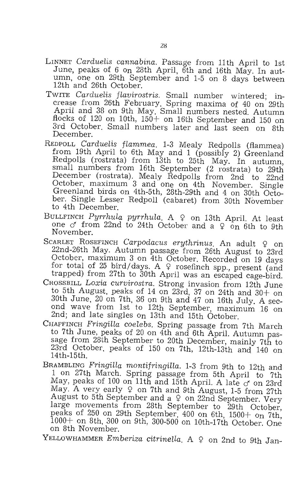- LINNET *Cardudis cannabina.* Passage from 11th April to 1st June, peaks of 6 on 28th April, 6th and 16th May. In autumn, one on 29th September and 1-5 on 8 days between 12th and 26th October.
- TWITE *Cardudis flavirostris.* Small number wintered; increase from 26th February. Spring maxima of 40 on 29th April and 38 on 9th May. Small numbers nested. Autumn flocks of  $120$  on  $10th$ ,  $150+$  on  $16th$  September and  $150$  on 3rd October. Small numbers later and last seen on 8th December.
- REDPOLL *Carduelis flammea*. 1-3 Mealy Redpolls (flammea) from 19th April to 6th May and 1 (possibly 2) Greenland Redpolls (rostrata) from 13th to 25th May. In autumn, small numbers from 16th September (2 rostrata) to 29th December (rostrata). Mealy Redpolls from 2nd to 22nd October, maximum 3 and one on 4th November. Single Greenland birds on 4th-5th, 28th-29th and 4 on 30th October. Single Lesser Redpoll (cabaret) from 30th November to 4th December.
- BULLFINCH Pyrrhula pyrrhula. A  $\varphi$  on 13th April. At least one  $\sigma$  from 22nd to 24th October and a  $\varphi$  on 6th to 9th November.
- SCARLET ROSEFINCH *Carpodacus erythrinus*. An adult  $\varphi$  on 22nd-26th May. Autumn passage from 26th August to 23rd October, maximum 3 on 4th October. Recorded on 19 days for total of 25 bird/days. A  $\varphi$  rosefinch spp., present (and trapped) from 27th to 30th April was an escaped cage-bird.
- CROSSBILL *Loxia curvirostra.* Strong invasion from 12th June to 5th August, peaks of 14 on 23rd, 37 on 24th and  $30+$  on 30th June, 20 on 7th, 36 on 9th and 47 on 16th July. A second wave from 1st to 12th September, maximum 16 on 2nd; and late singles On 13th and 15th October.
- CHAFFINCH *Fringilla coelebs.* Spring passage from 7th March to 7th June, peaks of 20 on 4th and 6th April. Autumn passage from 28th September to 20th December, mainly 7th to 23rd October, peaks of 150 on 7th, 12th-13th and 140 on 14th-15th.
- BRAMBLING *Fringilla montifringilla.* 1-3 from 9th to 12th and 1 on 27th March. Spring passage from 5th April to 7th May, peaks of 100 on 11th and 15th April. A late  $\sigma$  on 23rd May. A very early  $9$  on 7th and 9th August, 1-5 from 27th August to 5th September and a  $9$  on 22nd September. Very arge movements from 28th September to 29th October, peaks of  $250$  on  $29th$  September,  $400$  on  $6th$ ,  $1500+$  on  $7th$ , 1000+ on 8th, 300 on 9th, 300-500 on 10th-17th October. One on 8th November.

YELLOWHAMMER *Emberiza citrinella*. A  $\varphi$  on 2nd to 9th Jan-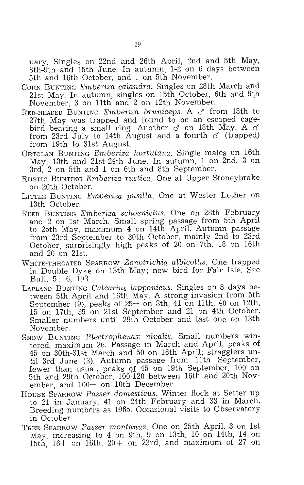uary. Singles on 22nd and 26th April, 2nd and 5th May, 8th-9th and 15th June. In autumn, 1-2 on 6 days between 5th and 16th October, and 1 on 5th November.

- CORN BUNTING *Emberiza calandra*. Singles on 28th March and 21st May. In autumn, singles on 15th October, 6th and 9th November, 3 on 11th and 2 on 12th November.
- RED-HEADED BUNTING *Emberiza bruniceps*. A  $\sigma$  from 18th to 27th May was trapped and found to be an escaped cagebird bearing a small ring. Another *d* on 18th May. A *d*  from 23rd July to 14th August and a fourth  $\sigma$  (trapped) from 19th to 31st August,
- ORTOLAN BUNTING *Emberiza hortulana.* Single males on 16th May, 13th and 21st-24th June. In autumn, 1 on 2nd, 3 on 3rd, 2 on 5th and 1 on 6th and 8th September.
- RUSTIC BUNTING *Emberiza rustica.* One at Upper Stoneybrake on 20th October.
- LITTLE BUNTING *Errilberiza pusitla.* One at Wester Lother on 13th October.
- REED BUNTING *Emberiza schoeniclus.* One on 28th February and 2 on 1st March. Small spring passage from 5th April to 25th May, maximum 4 on 14th April. Autumn passage from 23rd September to 30th October, mainly 2nd to 23rd October, surprisingly high peaks of 20 on 7th, 18 on 16th and 20 on 21st.
- WHITE-THROATED SPARROW *Zonotrichia albicotlis.* One trapped in Double Dyke on 13th May; new bird for Fair Isle. See Bull. 5: 6, 1D3
- LAPLAND BUNTING *Calcarius lapponicus.* Singles on 8 days between 5th April and 16th May. A strong invasion from 5th<br>September (9), peaks of 25+ on 8th, 41 on 11th, 40 on 12th, 15 on 17th, 35 on 21st September and 21 on 4th October.<br>Smaller numbers until 29th October and last one on 13th November.
- SNOW BUNTING *Plectrophenax nivalis.* Small numbers wintered, maximum 26. Passage in March and April, peaks of 45 on 30th-31st March and 50 on 16th April; stragglers until 3rd June (3). Autumn passage from 11th September, fewer than usual, peaks Qf 45 on 19th September, 100 on 5th and 29th October, 100-120 between 16th and 20th November, and  $100+$  on 10th December.
- HOUSE SPARROW *Passer domesticus.* Winter flock at Setter up Breeding numbers as 1965. Occasional visits to Observatory in October.
- TREE SPARROW *Passer montanus.* One on 25th April. 3 On 1st May, increasing to 4 on 9th, 9 on 13th, 10 on 14th, 14 on 15th,  $16+$  on 16th,  $20+$  on 23rd, and maximum of 27 on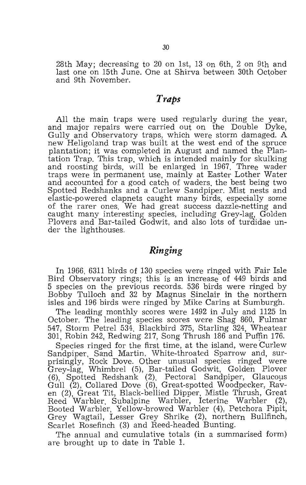28th May; decreasing to 20 on 1st, 13 on 6th, 2 on 9th and last one on 15th June. One at Shirva between 30th October and 9th November.

### *Traps*

All the main traps were used regularly during the year, and major repairs were carried out on the Double Dyke, Gully and Observatory traps, which were storm damaged. A new Heligoland trap was built at the west end of the spruce plantation; it was completed in August and named the Plantation Trap. This trap, which is intended mainly for skulking and roosting birds, will be enlarged in 1967. Three wader traps were in permanent use, mainly at Easter Lother Water and accounted for a good catch of waders, the best being two Spotted Redshanks and a Curlew Sandpiper. Mist nests and elastic-powered clapnets caught many birds, especially some of the rarer ones. We had great success dazzle-netting and caught many interesting species, including Grey-lag, Golden Plovers and Bar-tailed Godwit, and also lots of turdidae under the lighthouses.

### *Ringing*

In 1966, 6311 birds of 130 species were ringed with Fair Isle Bird Observatory rings; this is an increase of 449 birds and 5 species on the previous records. 536 birds were ringed by Bobby Tulloch and 32 by Magnus Sinclair in the northern isles and 196 birds were ringed by Mike Carins at Sumburgh.

The leading monthly scores were 1492 in July and 1125 in October. The leading species scores were Shag 860, Fulmar 547, Storm Petrel 534. Blackbird 375, Starling 324, Wheatear 301, Robin 242, Redwing 217, Song Thrush 186 and Puffin 176.

Species ringed for the first time, at the island, were Curlew Sandpiper, Sand Martin, White-throated Sparrow and, surprisingly, Rock Dove. Other unusual species ringed were Grey-lag, Whimbrel (5), Bar-tailed Godwit, Golden Plover (6), Spotted Redshank (2), Pectoral Sandpiper, Glaucous Gull (2), Collared Dove (6), Great-spotted Woodpecker, Raven (2), Great Tit, Black-bellied Dipper, Mistle Thrush, Great Reed Warbler, Subalpine Warbler, Icterine Warbler (2), Booted Warbler, Yellow-browed Warbler (4), Petchora Pipit, Grey Wagtail, Lesser Grey Shrike (2), northern Bullfinch, Scarlet Rosefinch (3) and Reed-headed Bunting.

The annual and cumulative totals (in a summarised form) are brought up to date in Table 1.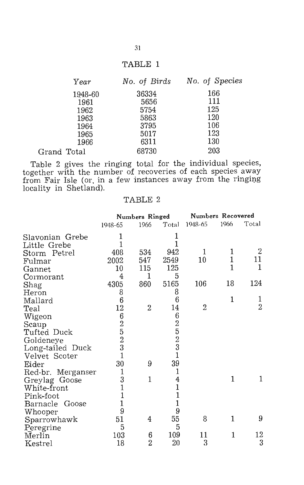#### TABLE 1

|             | Year         | No. of Birds | No. of Species |
|-------------|--------------|--------------|----------------|
|             | 1948-60      | 36334        | 166<br>111     |
|             | 1961<br>1962 | 5656<br>5754 | 125            |
|             | 1963<br>1964 | 5863<br>3795 | 120<br>106     |
|             | 1965         | 5017         | 123            |
|             | 1966         | 6311         | 130            |
| Grand Total |              | 68730        | 203            |

Table 2 gives the ringing total for the individual species, together with the number of recoveries of each species away from Fair Isle (or, in a few instances away from the ringing locality in Shetland).

#### TABLE 2

|                     | Numbers Ringed                            |                | Numbers Recovered                               |                |              |                |
|---------------------|-------------------------------------------|----------------|-------------------------------------------------|----------------|--------------|----------------|
|                     | 1948-65                                   | 1966           | Total                                           | 1948-65        | 1966         | Total          |
| Slavonian Grebe     | 1                                         |                | 1                                               |                |              |                |
| Little Grebe        | 1                                         |                |                                                 |                |              |                |
| Storm Petrel        | 408                                       | 534            | 942                                             | 1              | 1            | 2              |
| Fulmar              | 2002                                      | 547            | 2549                                            | 10             | $\mathbf{1}$ | 11             |
| Gannet              | 10                                        | 115            | 125                                             |                | 1            | 1              |
| Cormorant           | 4                                         | 1              | 5                                               |                |              |                |
| Shag                | 4305                                      | 860            | 5165                                            | 106            | 18           | 124            |
| Heron               | 8                                         |                | 8                                               |                |              |                |
| Mallard             | 6                                         |                | 6                                               |                | 1            | 1              |
| Teal                | 12                                        | $\overline{2}$ | 14                                              | $\overline{2}$ |              | $\overline{2}$ |
| Wigeon              | 6                                         |                | $\boldsymbol{6}$                                |                |              |                |
| Scaup               | $\frac{2}{5}$ $\frac{5}{3}$ $\frac{3}{1}$ |                | $\begin{smallmatrix}2\5\2\3\1\end{smallmatrix}$ |                |              |                |
| Tufted Duck         |                                           |                |                                                 |                |              |                |
| Goldeneye           |                                           |                |                                                 |                |              |                |
| Long-tailed Duck    |                                           |                |                                                 |                |              |                |
| Velvet Scoter       |                                           |                |                                                 |                |              |                |
| Eider               | 30                                        | 9              | 39                                              |                |              |                |
| Red-br. Merganser   | 1                                         |                | 1                                               |                |              |                |
| Greylag Goose       | 3                                         | 1              |                                                 |                | 1            | 1              |
| White-front         | $\mathbf{1}$                              |                | $\begin{smallmatrix} 4\1\1\end{smallmatrix}$    |                |              |                |
| Pink-foot           | $\mathbf{1}$                              |                |                                                 |                |              |                |
| Goose<br>Barnacle   | $\mathbf{1}$                              |                | $\mathbf{1}$                                    |                |              |                |
| Whooper             | 9                                         |                | 9                                               |                |              |                |
| Sparrowhawk         | 51                                        | 4              | 55                                              | 8              | 1            | 9              |
| Peregrine           | 5                                         |                | 5                                               |                |              |                |
| $\bar{\rm M}$ erlin | 103                                       | 6              | 109                                             | 11             | 1            | 12             |
| Kestrel             | 18                                        | $\overline{2}$ | 20                                              | 3              |              | 3              |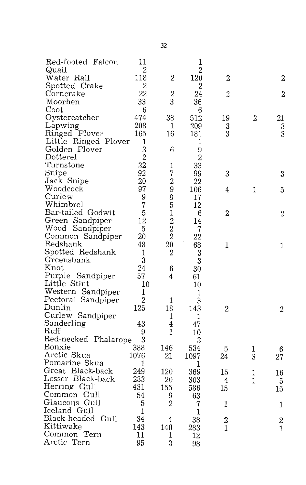| Red-footed Falcon    | 11               |                  | 1                |                |                  |                                               |
|----------------------|------------------|------------------|------------------|----------------|------------------|-----------------------------------------------|
| Quail                | $\overline{2}$   |                  | $\overline{2}$   |                |                  |                                               |
| Water Rail           | 118              | $\overline{2}$   | 120              | $\overline{2}$ |                  | 2                                             |
| Spotted Crake        | $\overline{2}$   |                  | $\overline{2}$   |                |                  |                                               |
| Corncrake            | 22               | $\overline{2}$   | 24               | $\overline{2}$ |                  | $\overline{2}$                                |
| Moorhen              | 33               | 3                | 36               |                |                  |                                               |
| Coot                 | $\boldsymbol{6}$ |                  | 6                |                |                  |                                               |
| Oystercatcher        | 474              | 38               | 512              | 19             | $\boldsymbol{2}$ | 21                                            |
| Lapwing              | 208              | 1                | 209              | 3              |                  | 3                                             |
| Ringed Plover        | 165              | 16               | 181              | 3              |                  | $\overline{3}$                                |
| Little Ringed Plover | 1                |                  | 1                |                |                  |                                               |
| Golden Plover        | 3                | 6                | 9                |                |                  |                                               |
| Dotterel             | $\overline{2}$   |                  | $\overline{2}$   |                |                  |                                               |
| Turnstone            | 32               | 1                | 33               |                |                  |                                               |
| Snipe                | 92               | $\overline{7}$   | 99               | 3              |                  | 3                                             |
| Jack Snipe           | 20               | $\overline{2}$   | 22               |                |                  |                                               |
| Woodcock             | 97               | 9                | 106              | 4              | 1                | 5                                             |
| Curlew               | 9                | 8                | 17               |                |                  |                                               |
| Whimbrel             | 7                | 5                | 12               |                |                  |                                               |
| Bar-tailed Godwit    | 5                | $\mathbf 1$      | $\boldsymbol{6}$ | $\overline{2}$ |                  | $\overline{2}$                                |
| Green Sandpiper      | 12               |                  | 14               |                |                  |                                               |
| Wood Sandpiper       | 5                | $\frac{2}{2}$    | 7                |                |                  |                                               |
| Common Sandpiper     | 20               | $\overline{2}$   | 22               |                |                  |                                               |
| Redshank             | 48               | 20               | 68               | 1              |                  | $\mathbf{1}$                                  |
| Spotted Redshank     | 1                | $\boldsymbol{2}$ | 3                |                |                  |                                               |
| Greenshank           | 3                |                  | 3                |                |                  |                                               |
| Knot                 | 24               | 6                | 30               |                |                  |                                               |
| Purple Sandpiper     | 57               | 4                | 61               |                |                  |                                               |
| Little Stint         | 10               |                  | 10               |                |                  |                                               |
| Western Sandpiper    | 1                |                  | 1                |                |                  |                                               |
| Pectoral Sandpiper   | $\overline{2}$   | 1                | 3                |                |                  |                                               |
| Dunlin               | 125              | 18               | 143              | $\overline{2}$ |                  | $\mathfrak{D}$                                |
| Curlew Sandpiper     |                  | 1                | 1                |                |                  |                                               |
| Sanderling           | 43               | 4                | 47               |                |                  |                                               |
| Ruff                 | 9                | 1                | 10               |                |                  |                                               |
| Red-necked Phalarope | 3                |                  | 3                |                |                  |                                               |
| Bonxie               | 388              | 146              | 534              | 5              |                  |                                               |
| Arctic Skua          | 1076             | 21               | 1097             | 24             | 1<br>3           | 6                                             |
| Pomarine Skua        | 1                |                  | 1                |                |                  | 27                                            |
| Great Black-back     | 249              | 120              | 369              | 15             | 1                |                                               |
| Lesser Black-back    | 283              | 20               | 303              | 4              | 1                | 16                                            |
| Herring Gull         | 431              | 155              | 586              | 15             |                  | 5                                             |
| Common Gull          | 54               | 9                | 63               |                |                  | 15                                            |
| Glaucous Gull        | 5                | $\overline{2}$   | 7                | $\mathbf{1}$   |                  |                                               |
| Iceland Gull         | $\mathbf{1}$     |                  | 1                |                |                  | 1                                             |
| Black-headed Gull    | 34               | 4                | 38               |                |                  |                                               |
| Kittiwake            | 143              | 140              | 283              | $\frac{2}{1}$  |                  | $\begin{smallmatrix} 2 \ 1 \end{smallmatrix}$ |
| Common Tern          | 11               | 1                | 12               |                |                  |                                               |
| Arctic Tern          | 95               | 3                |                  |                |                  |                                               |
|                      |                  |                  | 98               |                |                  |                                               |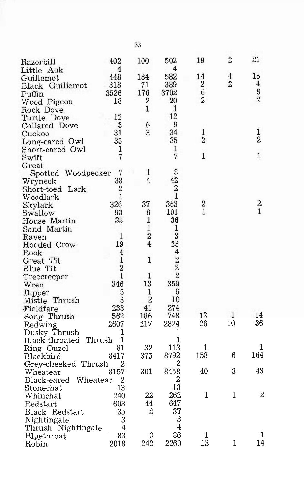| Razorbill             | 402                     | 100                 | 502                     | 19             | $\overline{2}$ | 21               |
|-----------------------|-------------------------|---------------------|-------------------------|----------------|----------------|------------------|
| Little Auk            | 4                       |                     | 4                       |                |                |                  |
| Guillemot             | 448                     | 134                 | 582                     | 14             | 4              | 18               |
| Black Guillemot       | 318                     | 71                  | 389                     | $\overline{2}$ | $\overline{2}$ | 4                |
| Puffin                | 3526                    | 176                 | 3702                    | 6              |                | 6                |
| Wood Pigeon           | 18                      | 2                   | 20                      | $\overline{2}$ |                | $\overline{2}$   |
| Rock Dove             |                         | 1                   | 1                       |                |                |                  |
| Turtle Dove           | 12                      |                     | 12                      |                |                |                  |
| Collared Dove         | 3                       | 6                   | 9                       |                |                |                  |
| Cuckoo                | 31                      | 3                   | 34                      | 1              |                | 1                |
| Long-eared Owl        | 35                      |                     | 35                      | $\overline{2}$ |                | $\overline{2}$   |
| Short-eared Owl       | 1                       |                     | 1                       |                |                |                  |
| Swift                 | 7                       |                     | $\overline{7}$          | $\mathbf{1}$   |                | $\mathbf{1}$     |
| Great                 |                         |                     |                         |                |                |                  |
| Spotted Woodpecker    | 7                       | 1                   | 8                       |                |                |                  |
| Wryneck               | 38                      | 4                   | 42                      |                |                |                  |
| Short-toed Lark       | 2                       |                     | 2                       |                |                |                  |
| Woodlark              | 1                       |                     | 1                       |                |                |                  |
|                       | 326                     | 37                  | 363                     | $\overline{2}$ |                |                  |
| Skylark<br>Swallow    | 93                      | 8                   | 101                     | 1              |                | $\frac{2}{1}$    |
| House Martin          | 35                      | 1                   | 36                      |                |                |                  |
| Sand Martin           |                         | $\mathbf{1}$        | 1                       |                |                |                  |
|                       | 1                       | $\overline{2}$      | 3                       |                |                |                  |
| Raven                 | 19                      | 4                   | 23                      |                |                |                  |
| Hooded Crow           | 4                       |                     | $\overline{\mathbf{4}}$ |                |                |                  |
| Rook                  | 1                       | 1                   | $\overline{2}$          |                |                |                  |
| Great Tit             | $\overline{2}$          |                     | $\overline{2}$          |                |                |                  |
| Blue Tit              | 1                       | 1                   | $\overline{2}$          |                |                |                  |
| Treecreeper           |                         |                     | 359                     |                |                |                  |
| Wren                  | 346                     | 13                  |                         |                |                |                  |
| Dipper                | 5                       | 1<br>$\overline{2}$ | 6                       |                |                |                  |
| Mistle Thrush         | 8                       |                     | 10                      |                |                |                  |
| Fieldfare             | 233                     | 41                  | 274                     |                |                |                  |
| Song Thrush           | 562                     | 186                 | 748                     | 13             | 1              | 14               |
| Redwing               | 2607                    | 217                 | 2824                    | 26             | 10             | 36               |
| Dusky Thrush          | 1                       |                     | 1                       |                |                |                  |
| Black-throated Thrush | 1                       |                     | 1                       |                |                |                  |
| Ring Ouzel            | 81                      | 32                  | 113                     | 1              |                | 1                |
| Blackbird             | 8417                    | 375                 | 8792                    | 158            | 6              | 164              |
| Grey-cheeked Thrush   | 2                       |                     | 2                       |                |                |                  |
| Wheatear              | 8157                    | 301                 | 8458                    | 40             | 3              | 43               |
| Black-eared Wheatear  | 2                       |                     | $\overline{2}$          |                |                |                  |
| Stonechat             | 13                      |                     | 13                      |                |                |                  |
| Whinchat              | 240                     | 22                  | 262                     | 1              | 1              | $\boldsymbol{2}$ |
| Redstart              | 603                     | 44                  | 647                     |                |                |                  |
| Black Redstart        | 35                      | 2                   | 37                      |                |                |                  |
| Nightingale           | 3                       |                     | 3                       |                |                |                  |
| Thrush Nightingale    | $\overline{\mathbf{4}}$ |                     | $\overline{4}$          |                |                |                  |
| Bluethroat            | 83                      | 3                   | 86                      | 1              |                | 1                |
| Robin                 | $2018\,$                | 242                 | 2260                    | 13             | 1              | 14               |

33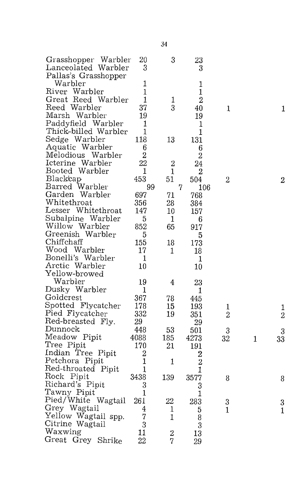| Grasshopper Warbler  | 20             | 3              | 23               |                |   |                     |
|----------------------|----------------|----------------|------------------|----------------|---|---------------------|
| Lanceolated Warbler  | 3              |                | 3                |                |   |                     |
| Pallas's Grasshopper |                |                |                  |                |   |                     |
| Warbler              | 1              |                | 1                |                |   |                     |
| River Warbler        | 1              |                | 1                |                |   |                     |
| Great Reed Warbler   | 1              | 1              | $\overline{2}$   |                |   |                     |
| Reed Warbler         | 37             | 3              | 40               | 1              |   | 1                   |
| Marsh Warbler        | 19             |                | 19               |                |   |                     |
| Paddyfield Warbler   | 1              |                | 1                |                |   |                     |
| Thick-billed Warbler | 1              |                | $\mathbf{1}$     |                |   |                     |
| Sedge Warbler        | 118            | 13             | 131              |                |   |                     |
| Aquatic Warbler      | 6              |                | 6                |                |   |                     |
| Melodious Warbler    | $\overline{2}$ |                | $\overline{2}$   |                |   |                     |
| Icterine Warbler     | 22             | $\overline{2}$ | 24               |                |   |                     |
| Booted Warbler       | 1              | 1              | $\boldsymbol{2}$ |                |   |                     |
| Blackcap             | 453            | 51             | 504              | $\overline{2}$ |   | $\overline{2}$      |
| Barred Warbler       | 99             | $\overline{7}$ | $106\,$          |                |   |                     |
| Garden Warbler       | 697            | 71             | 768              |                |   |                     |
| Whitethroat          | 356            | 28             | 384              |                |   |                     |
| Lesser Whitethroat   | 147            | 10             | 157              |                |   |                     |
| Subalpine Warbler    | 5              | 1              | 6                |                |   |                     |
| Willow Warbler       | 852            | 65             | 917              |                |   |                     |
| Greenish Warbler     | 5              |                | 5                |                |   |                     |
| Chiffchaff           | 155            | 18             | 173              |                |   |                     |
| Wood Warbler         | 17             | 1              | 18               |                |   |                     |
| Bonelli's Warbler    | $\mathbf{1}$   |                | $\mathbf 1$      |                |   |                     |
| Arctic Warbler       | $10\,$         |                | $10\,$           |                |   |                     |
| Yellow-browed        |                |                |                  |                |   |                     |
| Warbler              | 19             | 4              | 23               |                |   |                     |
| Dusky Warbler        | 1              |                | 1                |                |   |                     |
| Goldcrest            | 367            | 78             | 445              |                |   |                     |
| Spotted Flycatcher   | 178            | 15             | 193              | 1              |   |                     |
| Pied Flycatcher      | 332            | 19             | 351              | $\overline{2}$ |   | 1<br>$\overline{2}$ |
| Red-breasted Fly.    | 29             |                | 29               |                |   |                     |
| Dunnock              | 448            | 53             | 501              | 3              |   | 3                   |
| Meadow Pipit         | 4088           | 185            | 4273             | 32             | 1 | 33                  |
| Tree Pipit           | 170            | 21             | 191              |                |   |                     |
| Indian Tree Pipit    | $\overline{2}$ |                | $\overline{2}$   |                |   |                     |
| Petchora Pipit       | 1              | 1              | $\overline{2}$   |                |   |                     |
| Red-throated Pipit   | 1              |                | 1                |                |   |                     |
| Rock Pipit           | 3438           | 139            | 3577             | 8              |   | 8                   |
| Richard's Pipit      | 3              |                | 3                |                |   |                     |
| Tawny Pipit          | $\mathbf 1$    |                | $\mathbf 1$      |                |   |                     |
| Pied/White Wagtail   | 261            | 22             | 283              | 3              |   |                     |
| Grey Wagtail         | 4              | 1              | 5                | $\mathbf{1}$   |   | 3                   |
| Yellow Wagtail spp.  | 7              | 1              | 8                |                |   | $\mathbf{1}$        |
| Citrine Wagtail      | 3              |                | 3                |                |   |                     |
| Waxwing              | 11             | $\overline{c}$ | 13               |                |   |                     |
| Great Grey Shrike    | 22             | 7              | 29               |                |   |                     |
|                      |                |                |                  |                |   |                     |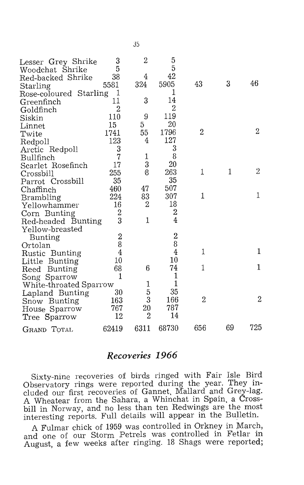| Lesser Grey Shrike     | 3              | 2              | 5                |                |    |                |
|------------------------|----------------|----------------|------------------|----------------|----|----------------|
| Woodchat Shrike        | 5              |                | $\overline{5}$   |                |    |                |
| Red-backed Shrike      | 38             | 4              | 42               |                |    |                |
| Starling               | 5581           | 324            | 5905             | 43             | 3  | 46             |
| Rose-coloured Starling | 1              |                | 1                |                |    |                |
| Greenfinch             | 11             | 3              | 14               |                |    |                |
| Goldfinch              | $\overline{2}$ |                | $\overline{2}$   |                |    |                |
| Siskin                 | 110            | 9              | 119              |                |    |                |
| Linnet                 | 15             | 5              | $^{20}$          |                |    |                |
| Twite                  | 1741           | 55             | 1796             | 2              |    | $\overline{2}$ |
| Redpoll                | 123            | 4              | 127              |                |    |                |
| Arctic Redpoll         | 3              |                | 3                |                |    |                |
| Bullfinch              | 7              |                | 8                |                |    |                |
| Scarlet Rosefinch      | 17             | $\frac{1}{3}$  | 20               |                |    |                |
| Crossbill              | 255            | 8              | 263              | 1              | 1  | 2              |
| Parrot Crossbill       | 35             |                | 35               |                |    |                |
| Chaffinch              | 460            | 47             | 507              |                |    |                |
| Brambling              | 224            | 83             | 307              | $\mathbf{1}$   |    | 1              |
| Yellowhammer           | 16             | 2              | 18               |                |    |                |
| Corn Bunting           | $\overline{2}$ |                | $\overline{2}$   |                |    |                |
| Red-headed Bunting     | 3              | 1              | $\overline{4}$   |                |    |                |
| Yellow-breasted        |                |                |                  |                |    |                |
| <b>Bunting</b>         | $\overline{2}$ |                | $\boldsymbol{2}$ |                |    |                |
| Ortolan                | 8              |                | 8                |                |    |                |
| Rustic Bunting         | $\overline{4}$ |                | $\overline{4}$   | 1              |    | 1              |
| Little Bunting         | 10             |                | 10               |                |    |                |
| Bunting<br>Reed        | 68             | 6              | 74               | 1              |    | $\mathbf 1$    |
| Song Sparrow           | 1              |                | $\mathbf{1}$     |                |    |                |
| White-throated Sparrow |                | $\mathbf{1}$   | $\mathbf{1}$     |                |    |                |
| Lapland Bunting        | 30             | 5              | 35               |                |    |                |
| Snow Bunting           | 163            | $\overline{3}$ | 166              | $\overline{2}$ |    | $\overline{2}$ |
| House Sparrow          | 767            | 20             | 787              |                |    |                |
| Tree Sparrow           | $12\,$         | $\overline{2}$ | 14               |                |    |                |
|                        |                |                |                  |                |    |                |
| GRAND TOTAL            | 62419          | 6311           | 68730            | 656            | 69 | 725            |

#### **Recoveries 1966**

Sixty-nine recoveries of birds ringed with Fair Isle Bird Observatory rings were reported during the year. They included our first recoveries of Gannet, Mallard and Grey-lag. A Wheatear from the Sahara, a Whinchat in Spain, a Crossbill in Norway, and no less than ten Redwings are the most interesting reports. Full details will appear in the Bulletin.

A Fulmar chick of 1959 was controlled in Orkney in March, and one of our Storm Petrels was controlled in Fetlar in August, a few weeks after ringing. 18 Shags were reported;

35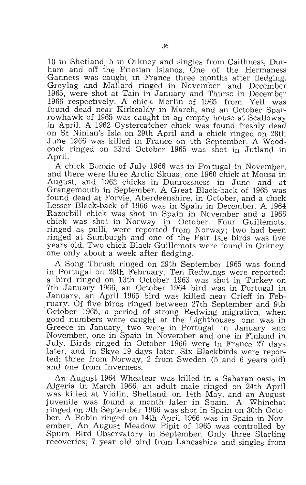10 in Shetland, 5 in Orkney and singles from Caithness, Durham and off the Friesian Islands. One of the Hermaness Gannets was caught in France three months after fledging. Greylag and Mallard ringed in November and December 1965, were shot at Tain in January and Thurso in December 1966 respectively. A chick, Merlin of 1965 from Yell was found dead near Kirkcaldy in March, and an October Sparrowhawk of 1965 was caught in an empty house at Scalloway in April. A 1962 Oystercatcher chick was found freshly dead on St Ninian's Isle on 29th April and a chick ringed on 28th June 1966 was killed in France on 4th September. A Woodcock ringed on 23rd October 1965 was shot in Jutland in April.

A chick Bonxie of July 1966 was in Portugal in November, and there were three Arctic Skuas; one 1960 chick at Mousa in August, and 1962 chicks in Dunrossness in June and at Grangemouth in September. A Great Black-back of 1965 was found dead at Forvie. Aberdeenshire, in October, and a chick Lesser Black-back of 1966 was in Spain in December. A 1964 Razorbill chick was shot in Spain in November and a 1966 chick was shot in Norway in October. Four Guillemots, ringed as pulli, were reported from Norway; two had been ringed at Sumburgh and one of the Fair Isle birds was five years old. Two chick Black Guillemots were found in Orkney, one only about a week after fledging.

A Song Thrush ringed on 29th September 1965 was found in Portugal on 28th February. Ten Redwings were reported; a bird ringed on 13th October 1963 was shot in Turkey on 7th January 1966, an October 1964 bird was in Portugal in January, an April 1965 bird was killed near Crieff in Feb-October 1965, a period of strong Redwing migration, when good numbers were caught at the Lighthouses. one was in Greece in January, two were in Portugal in January and November, one in Spain in November and, one in Finland in July. Birds ringed in October 1966 were in France 27 days later, and in Skye 19 days later. Six Blackbirds were reported; three from Norway, 2 from Sweden (5 and 6 years old) and one from Inverness.

An August 1964 Wheatear was killed in a Saharan oasis in Algeria in March 1966, an adult male ringed on 24th April was killed at Vidlin, Shetland, on 14th May, and an August juvenile was found a month later in Spain. A Whinchat ringed On 9th September 1966 was shot in Spain on 30th October. A Robin ringed on 14th April 1966 was in Spain in November. An August Meadow Pipit of 1965 was controlled by Spurn Bird Observatory in September. Only three Starling recoveries; 7 year old bird from Lancashire and singles from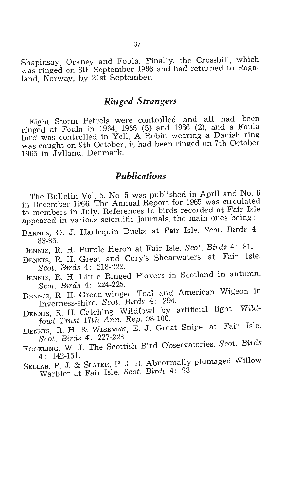Shapinsay, Orkney and Foula. Finally, the Crossbill, which was ringed on 6th September 1966 and had returned to Rogaland, Norway, by 21st September.

#### *Ringed Strangers*

Eight Storm Petrels were controlled and all had been ringed at Foula in 1964, 1965 (5) and 1966 (2), and a Foula bird was controlled in Yell. A Robin wearing a Danish ring was caught on 9th October; it had been ringed on 7th October 1965 in Jylland, Denmark.

#### *Publications*

The Bulletin Vol. 5, No. 5 was published in April and No. 6 in December 1966. The Annual Report for 1965 was circulated to members in July. References to birds recorded at Fair Isle appeared in various scientific journals, the main ones being :

- BARNES, G. J. Harlequin Ducks at Fair Isle. *Scat. Birds* 4 : 83-85.
- DENNIS, R. H. Purple Heron at Fair Isle. *Scat. Birds* 4: 8I.
- DENNIS, R. H. Great and Cory's Shearwaters at Fair Isle. *Scat. Birds* 4: 218-222.
- DENNIS, R. H. Little Ringed Plovers in Scotland in autumn. *Scat. Birds* 4: 224-225.
- DENNIS, R. H. Green-winged Teal and American Wigeon in Inverness-shire. *Scot. Birds* 4: 294.
- DENNIS, R. H. Catching Wildfowl by artificial light. *Wild*fowl Trust 17th Ann. Rep. 98-100.
- DENNIS, R. H. & WISEMAN, E. J. Great Snipe at Fair Isle. Scot. Birds 4: 227-228.
- EGGELING, W. J. The Scottish Bird Observatories. *Scat. Birds*  4: 142-151.
- SELLAR, P. J. & SLATER, P . J. B. Abnormally plumaged Willow Warbler at Fair Isle. *Scat. Birds* 4 : 98.